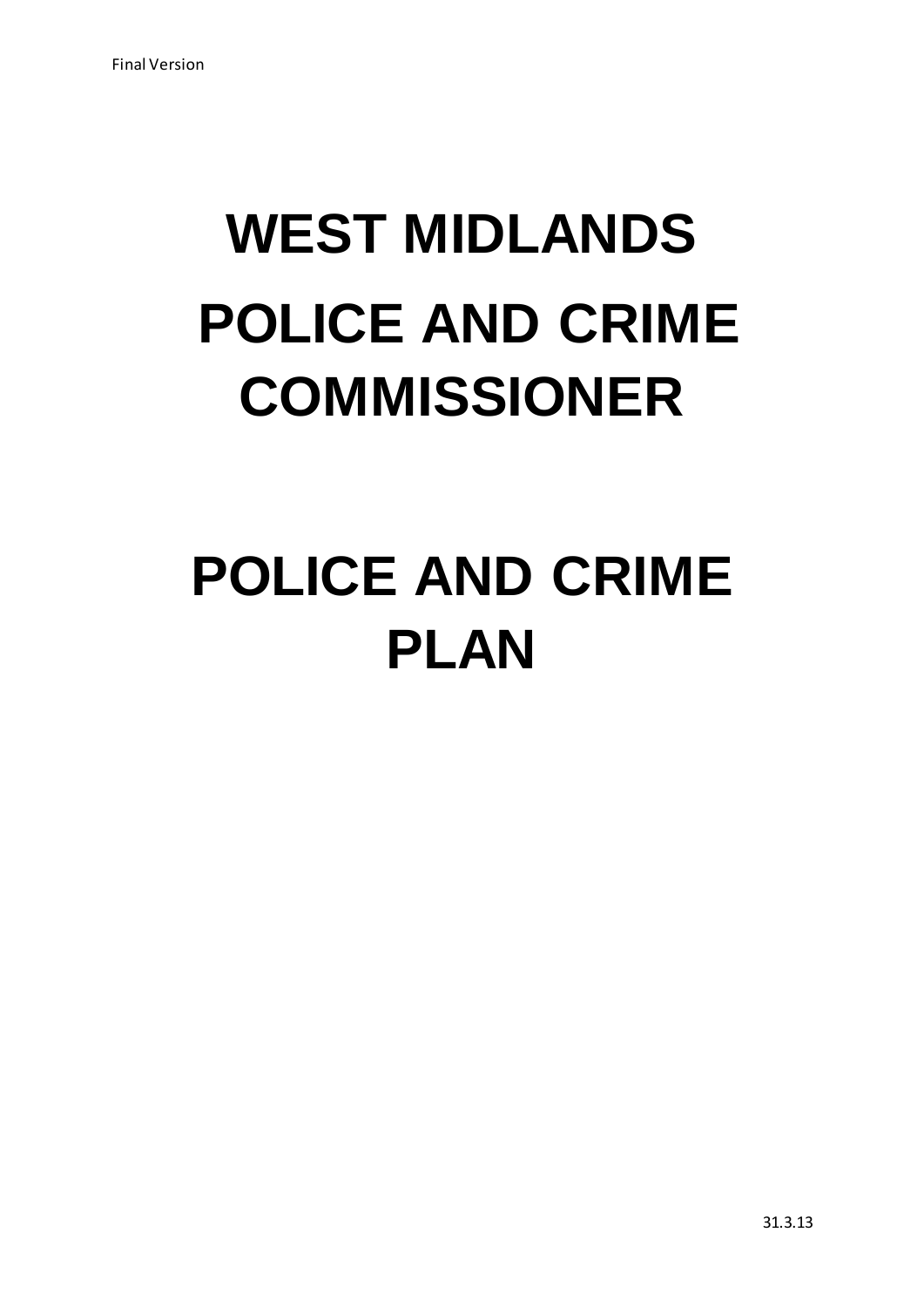# **WEST MIDLANDS POLICE AND CRIME COMMISSIONER**

# **POLICE AND CRIME PLAN**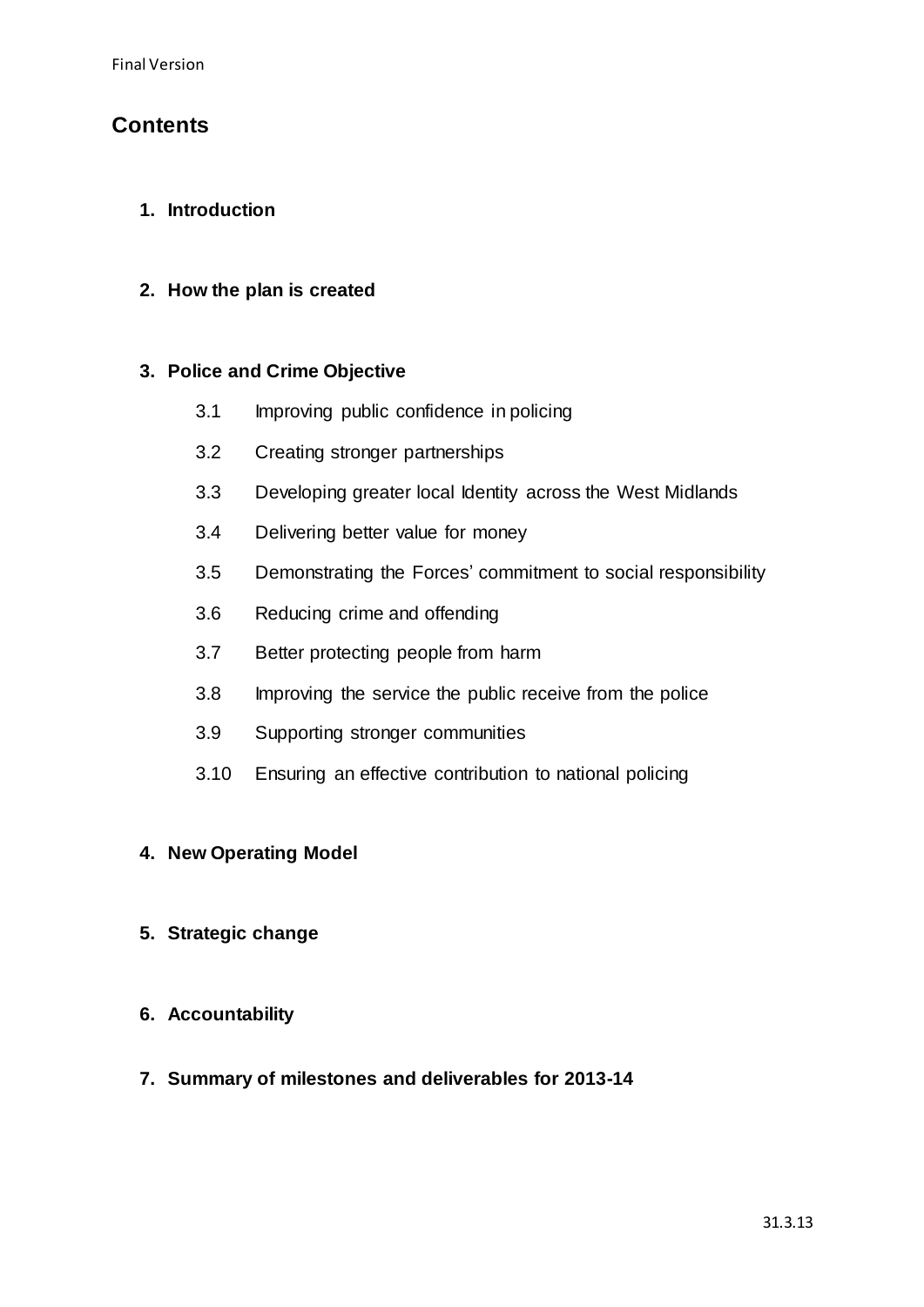# **Contents**

# **1. Introduction**

## **2. How the plan is created**

## **3. Police and Crime Objective**

- 3.1 Improving public confidence in policing
- 3.2 Creating stronger partnerships
- 3.3 Developing greater local Identity across the West Midlands
- 3.4 Delivering better value for money
- 3.5 Demonstrating the Forces' commitment to social responsibility
- 3.6 Reducing crime and offending
- 3.7 Better protecting people from harm
- 3.8 Improving the service the public receive from the police
- 3.9 Supporting stronger communities
- 3.10 Ensuring an effective contribution to national policing

### **4. New Operating Model**

- **5. Strategic change**
- **6. Accountability**
- **7. Summary of milestones and deliverables for 2013-14**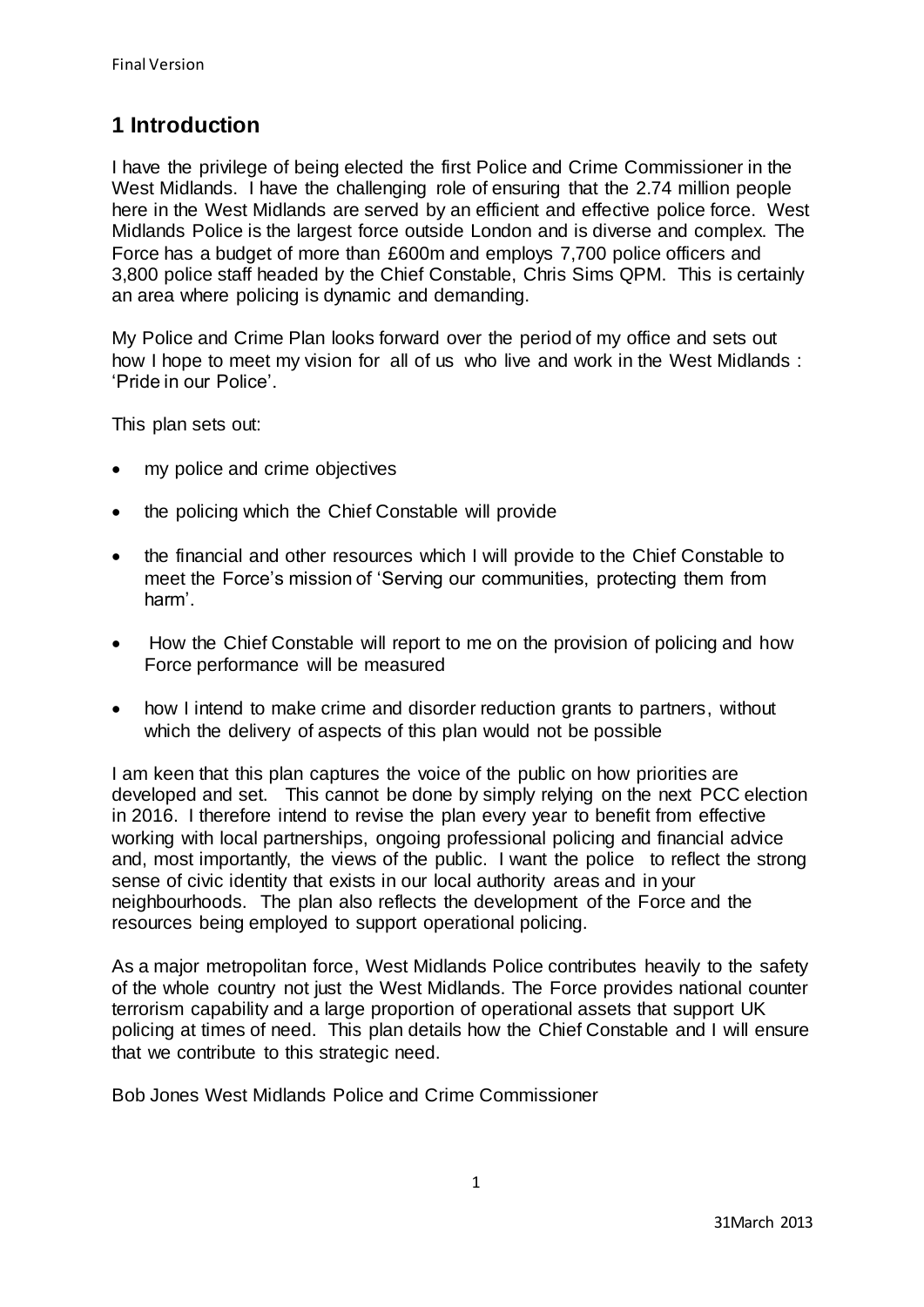# **1 Introduction**

I have the privilege of being elected the first Police and Crime Commissioner in the West Midlands. I have the challenging role of ensuring that the 2.74 million people here in the West Midlands are served by an efficient and effective police force. West Midlands Police is the largest force outside London and is diverse and complex. The Force has a budget of more than £600m and employs 7,700 police officers and 3,800 police staff headed by the Chief Constable, Chris Sims QPM. This is certainly an area where policing is dynamic and demanding.

My Police and Crime Plan looks forward over the period of my office and sets out how I hope to meet my vision for all of us who live and work in the West Midlands : 'Pride in our Police'.

This plan sets out:

- my police and crime objectives
- the policing which the Chief Constable will provide
- the financial and other resources which I will provide to the Chief Constable to meet the Force's mission of 'Serving our communities, protecting them from harm'.
- How the Chief Constable will report to me on the provision of policing and how Force performance will be measured
- how I intend to make crime and disorder reduction grants to partners, without which the delivery of aspects of this plan would not be possible

I am keen that this plan captures the voice of the public on how priorities are developed and set. This cannot be done by simply relying on the next PCC election in 2016. I therefore intend to revise the plan every year to benefit from effective working with local partnerships, ongoing professional policing and financial advice and, most importantly, the views of the public. I want the police to reflect the strong sense of civic identity that exists in our local authority areas and in your neighbourhoods. The plan also reflects the development of the Force and the resources being employed to support operational policing.

As a major metropolitan force, West Midlands Police contributes heavily to the safety of the whole country not just the West Midlands. The Force provides national counter terrorism capability and a large proportion of operational assets that support UK policing at times of need. This plan details how the Chief Constable and I will ensure that we contribute to this strategic need.

Bob Jones West Midlands Police and Crime Commissioner

1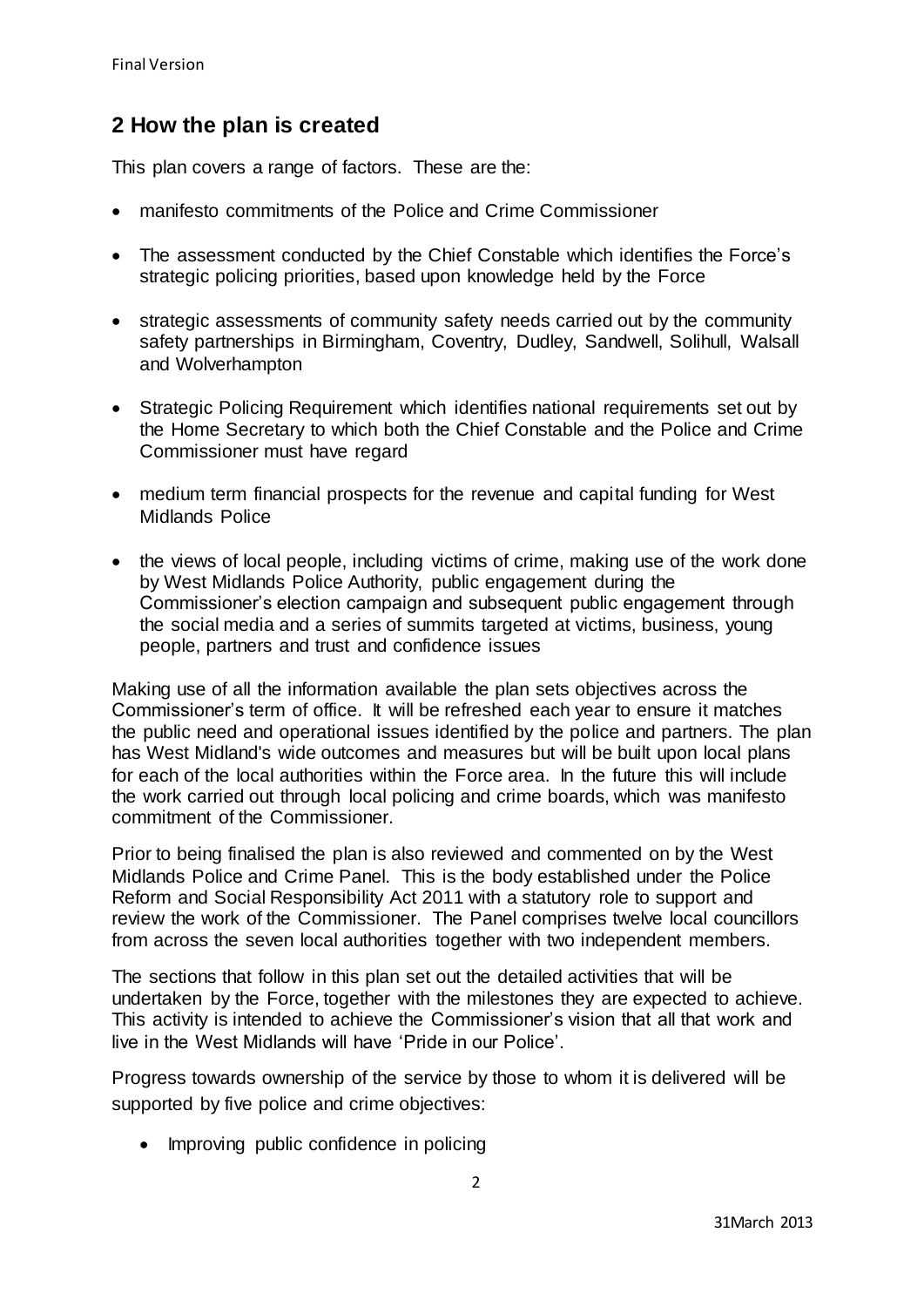# **2 How the plan is created**

This plan covers a range of factors. These are the:

- manifesto commitments of the Police and Crime Commissioner
- The assessment conducted by the Chief Constable which identifies the Force's strategic policing priorities, based upon knowledge held by the Force
- strategic assessments of community safety needs carried out by the community safety partnerships in Birmingham, Coventry, Dudley, Sandwell, Solihull, Walsall and Wolverhampton
- Strategic Policing Requirement which identifies national requirements set out by the Home Secretary to which both the Chief Constable and the Police and Crime Commissioner must have regard
- medium term financial prospects for the revenue and capital funding for West Midlands Police
- the views of local people, including victims of crime, making use of the work done by West Midlands Police Authority, public engagement during the Commissioner's election campaign and subsequent public engagement through the social media and a series of summits targeted at victims, business, young people, partners and trust and confidence issues

Making use of all the information available the plan sets objectives across the Commissioner's term of office. It will be refreshed each year to ensure it matches the public need and operational issues identified by the police and partners. The plan has West Midland's wide outcomes and measures but will be built upon local plans for each of the local authorities within the Force area. In the future this will include the work carried out through local policing and crime boards, which was manifesto commitment of the Commissioner.

Prior to being finalised the plan is also reviewed and commented on by the West Midlands Police and Crime Panel. This is the body established under the Police Reform and Social Responsibility Act 2011 with a statutory role to support and review the work of the Commissioner. The Panel comprises twelve local councillors from across the seven local authorities together with two independent members.

The sections that follow in this plan set out the detailed activities that will be undertaken by the Force, together with the milestones they are expected to achieve. This activity is intended to achieve the Commissioner's vision that all that work and live in the West Midlands will have 'Pride in our Police'.

Progress towards ownership of the service by those to whom it is delivered will be supported by five police and crime objectives:

• Improving public confidence in policing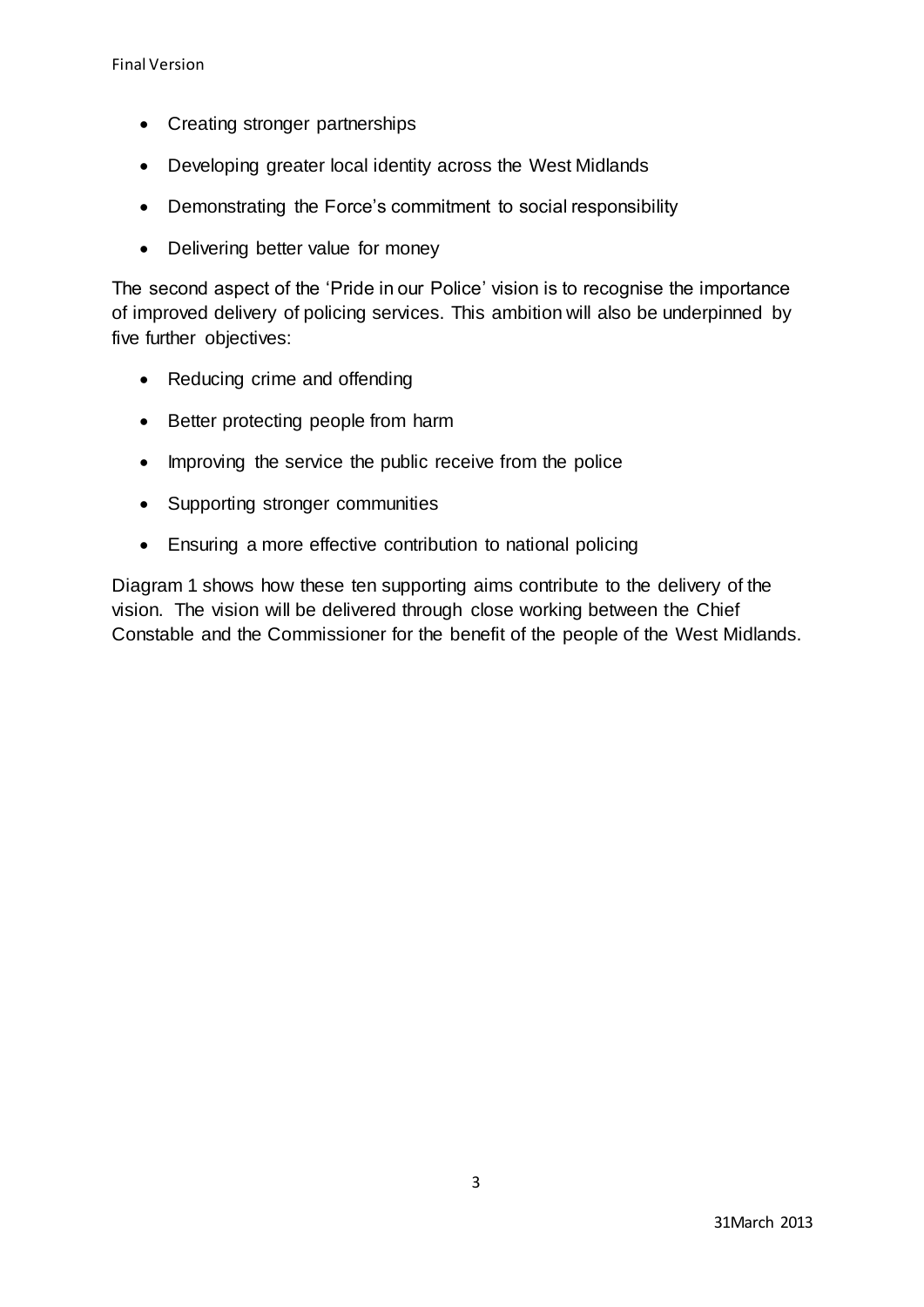- Creating stronger partnerships
- Developing greater local identity across the West Midlands
- Demonstrating the Force's commitment to social responsibility
- Delivering better value for money

The second aspect of the 'Pride in our Police' vision is to recognise the importance of improved delivery of policing services. This ambition will also be underpinned by five further objectives:

- Reducing crime and offending
- Better protecting people from harm
- Improving the service the public receive from the police
- Supporting stronger communities
- Ensuring a more effective contribution to national policing

Diagram 1 shows how these ten supporting aims contribute to the delivery of the vision. The vision will be delivered through close working between the Chief Constable and the Commissioner for the benefit of the people of the West Midlands.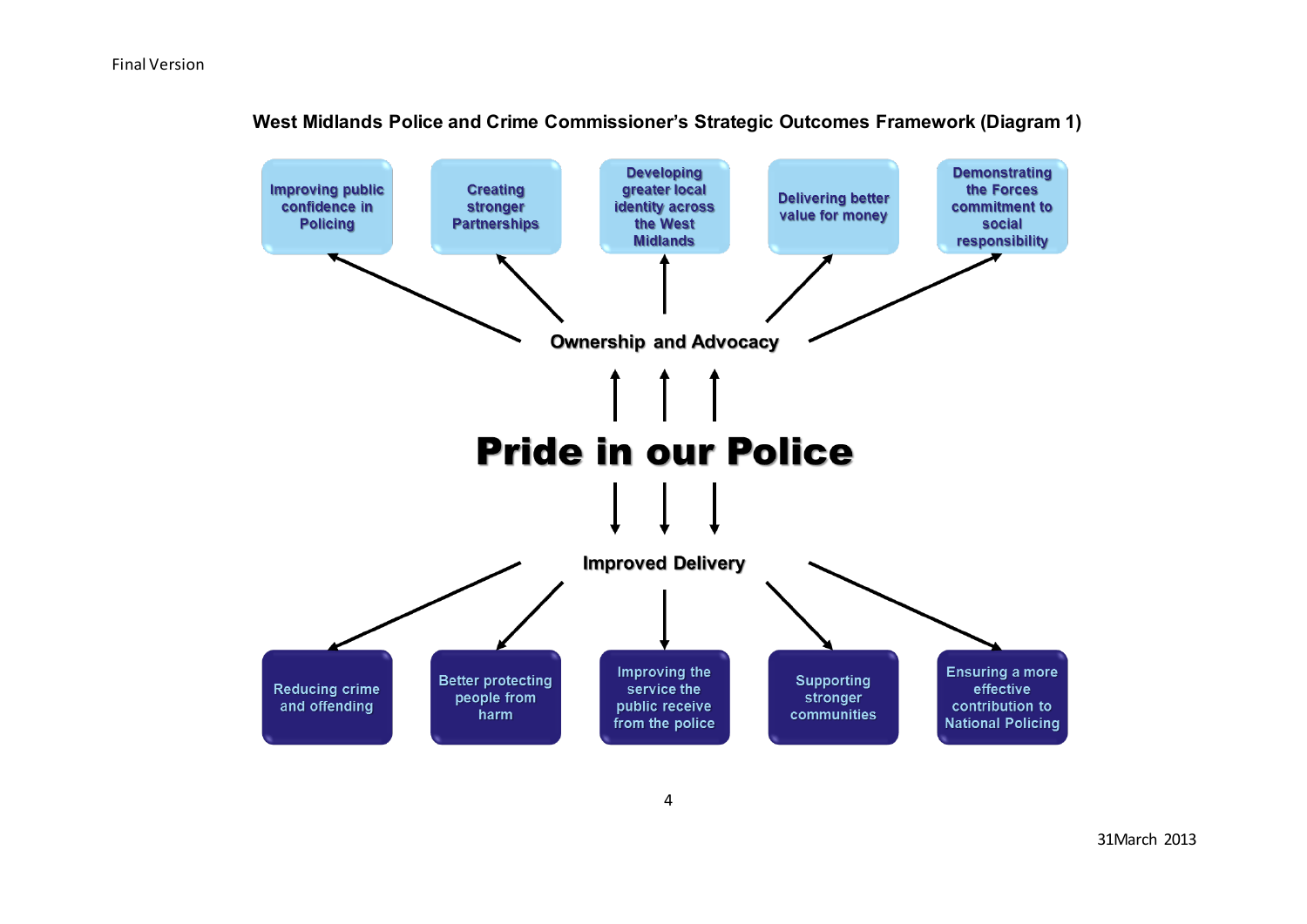

**West Midlands Police and Crime Commissioner's Strategic Outcomes Framework (Diagram 1)**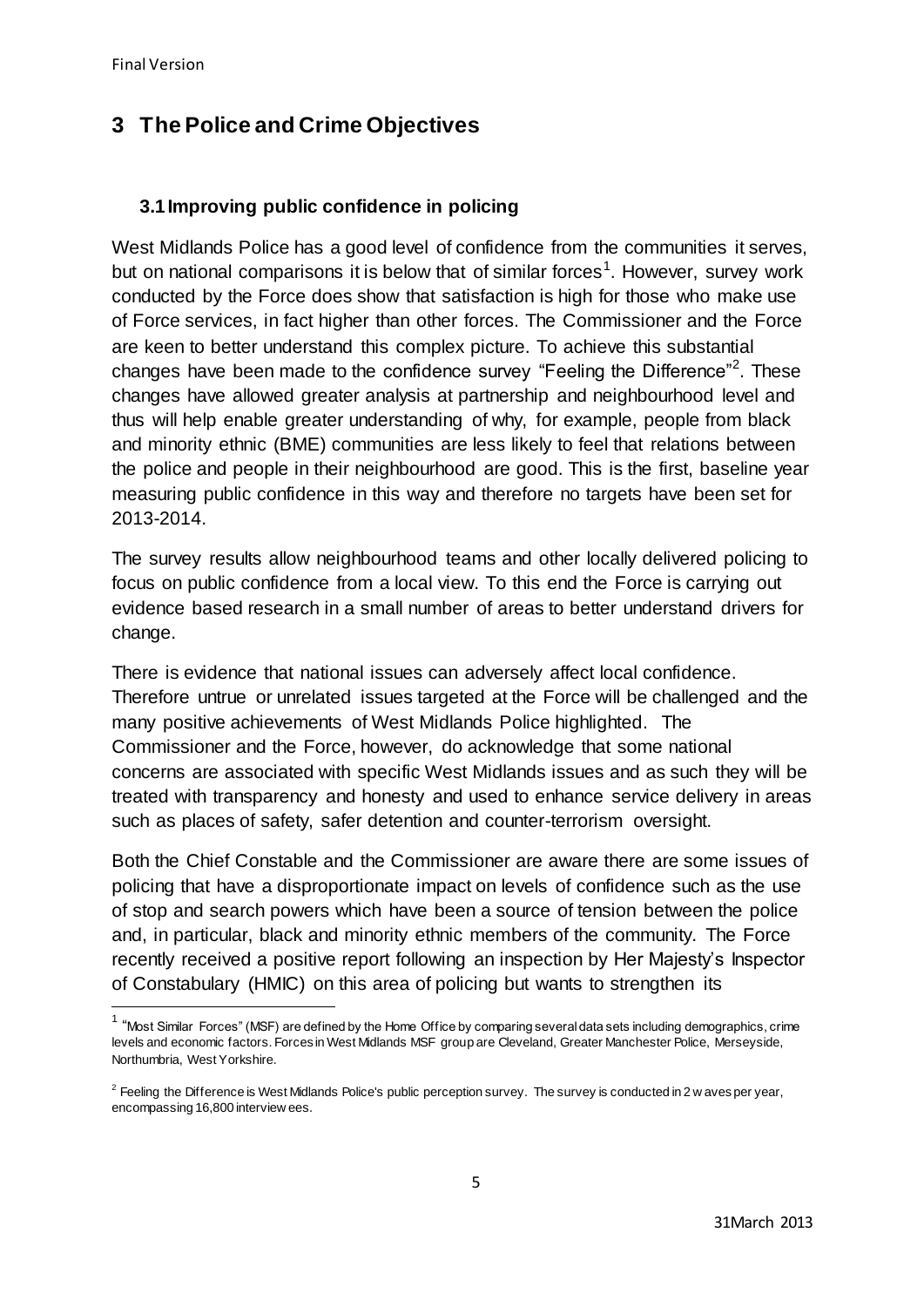$\overline{a}$ 

# **3 The Police and Crime Objectives**

# **3.1Improving public confidence in policing**

West Midlands Police has a good level of confidence from the communities it serves, but on national comparisons it is below that of similar forces<sup>1</sup>. However, survey work conducted by the Force does show that satisfaction is high for those who make use of Force services, in fact higher than other forces. The Commissioner and the Force are keen to better understand this complex picture. To achieve this substantial changes have been made to the confidence survey "Feeling the Difference"<sup>2</sup>. These changes have allowed greater analysis at partnership and neighbourhood level and thus will help enable greater understanding of why, for example, people from black and minority ethnic (BME) communities are less likely to feel that relations between the police and people in their neighbourhood are good. This is the first, baseline year measuring public confidence in this way and therefore no targets have been set for 2013-2014.

The survey results allow neighbourhood teams and other locally delivered policing to focus on public confidence from a local view. To this end the Force is carrying out evidence based research in a small number of areas to better understand drivers for change.

There is evidence that national issues can adversely affect local confidence. Therefore untrue or unrelated issues targeted at the Force will be challenged and the many positive achievements of West Midlands Police highlighted. The Commissioner and the Force, however, do acknowledge that some national concerns are associated with specific West Midlands issues and as such they will be treated with transparency and honesty and used to enhance service delivery in areas such as places of safety, safer detention and counter-terrorism oversight.

Both the Chief Constable and the Commissioner are aware there are some issues of policing that have a disproportionate impact on levels of confidence such as the use of stop and search powers which have been a source of tension between the police and, in particular, black and minority ethnic members of the community. The Force recently received a positive report following an inspection by Her Majesty's Inspector of Constabulary (HMIC) on this area of policing but wants to strengthen its

<sup>&</sup>lt;sup>1</sup> "Most Similar Forces" (MSF) are defined by the Home Office by comparing several data sets including demographics, crime levels and economic factors. Forces in West Midlands MSF group are Cleveland, Greater Manchester Police, Merseyside, Northumbria, West Yorkshire.

 $2$  Feeling the Difference is West Midlands Police's public perception survey. The survey is conducted in 2 w aves per year, encompassing 16,800 interview ees.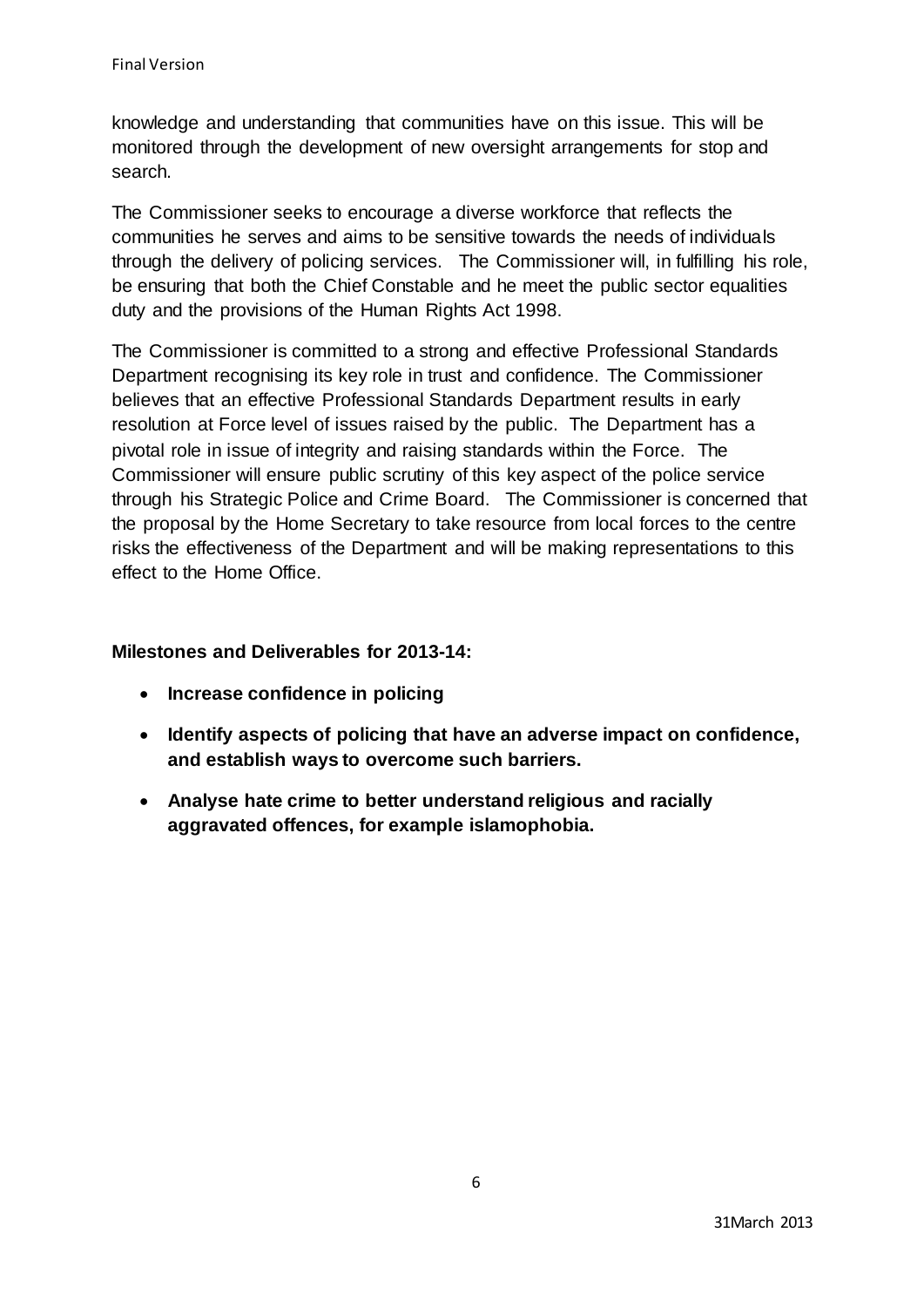knowledge and understanding that communities have on this issue. This will be monitored through the development of new oversight arrangements for stop and search.

The Commissioner seeks to encourage a diverse workforce that reflects the communities he serves and aims to be sensitive towards the needs of individuals through the delivery of policing services. The Commissioner will, in fulfilling his role, be ensuring that both the Chief Constable and he meet the public sector equalities duty and the provisions of the Human Rights Act 1998.

The Commissioner is committed to a strong and effective Professional Standards Department recognising its key role in trust and confidence. The Commissioner believes that an effective Professional Standards Department results in early resolution at Force level of issues raised by the public. The Department has a pivotal role in issue of integrity and raising standards within the Force. The Commissioner will ensure public scrutiny of this key aspect of the police service through his Strategic Police and Crime Board. The Commissioner is concerned that the proposal by the Home Secretary to take resource from local forces to the centre risks the effectiveness of the Department and will be making representations to this effect to the Home Office.

# **Milestones and Deliverables for 2013-14:**

- **Increase confidence in policing**
- **Identify aspects of policing that have an adverse impact on confidence, and establish ways to overcome such barriers.**
- **Analyse hate crime to better understand religious and racially aggravated offences, for example islamophobia.**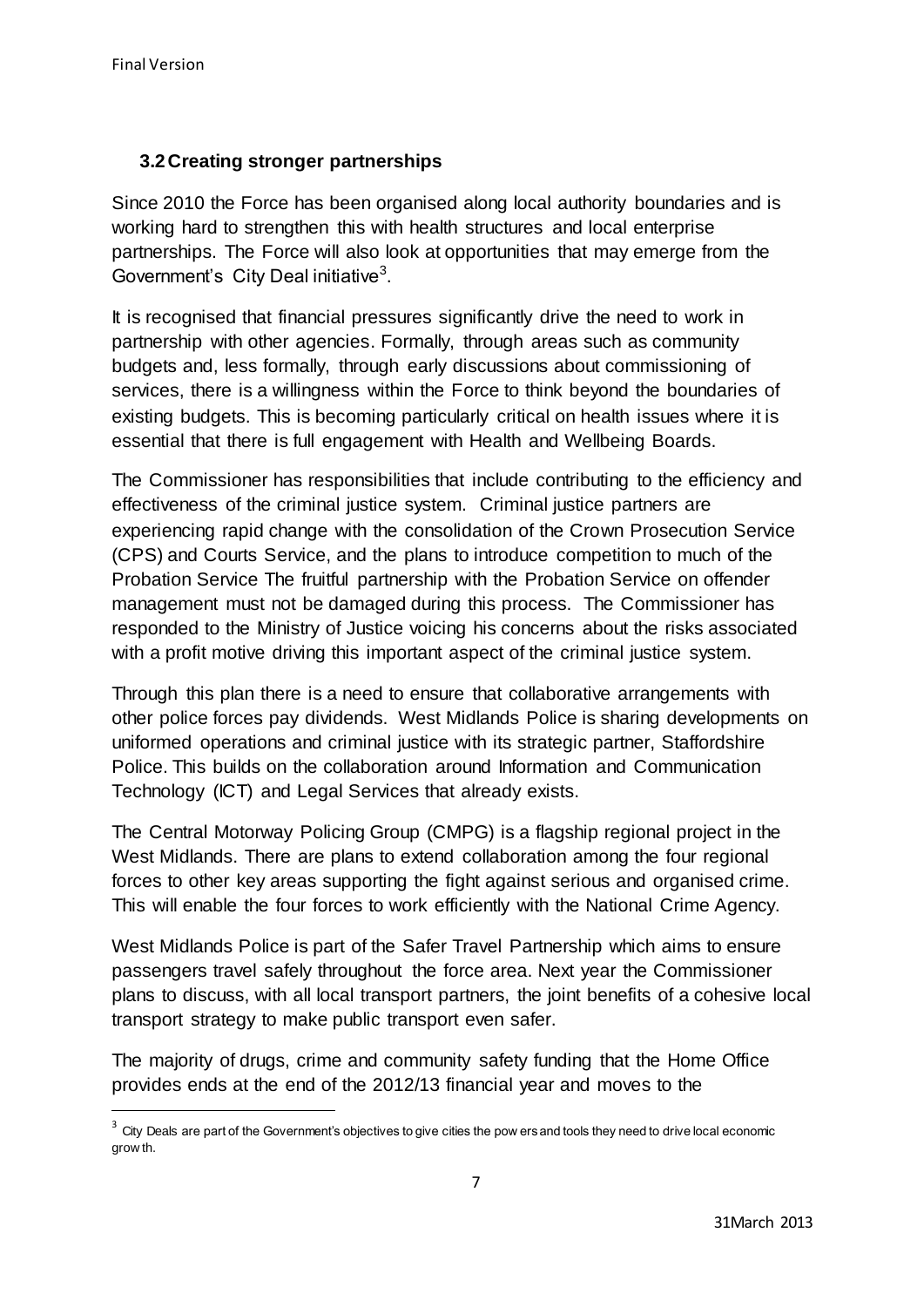$\overline{a}$ 

# **3.2Creating stronger partnerships**

Since 2010 the Force has been organised along local authority boundaries and is working hard to strengthen this with health structures and local enterprise partnerships. The Force will also look at opportunities that may emerge from the Government's City Deal initiative<sup>3</sup>.

It is recognised that financial pressures significantly drive the need to work in partnership with other agencies. Formally, through areas such as community budgets and, less formally, through early discussions about commissioning of services, there is a willingness within the Force to think beyond the boundaries of existing budgets. This is becoming particularly critical on health issues where it is essential that there is full engagement with Health and Wellbeing Boards.

The Commissioner has responsibilities that include contributing to the efficiency and effectiveness of the criminal justice system. Criminal justice partners are experiencing rapid change with the consolidation of the Crown Prosecution Service (CPS) and Courts Service, and the plans to introduce competition to much of the Probation Service The fruitful partnership with the Probation Service on offender management must not be damaged during this process. The Commissioner has responded to the Ministry of Justice voicing his concerns about the risks associated with a profit motive driving this important aspect of the criminal justice system.

Through this plan there is a need to ensure that collaborative arrangements with other police forces pay dividends. West Midlands Police is sharing developments on uniformed operations and criminal justice with its strategic partner, Staffordshire Police. This builds on the collaboration around Information and Communication Technology (ICT) and Legal Services that already exists.

The Central Motorway Policing Group (CMPG) is a flagship regional project in the West Midlands. There are plans to extend collaboration among the four regional forces to other key areas supporting the fight against serious and organised crime. This will enable the four forces to work efficiently with the National Crime Agency.

West Midlands Police is part of the Safer Travel Partnership which aims to ensure passengers travel safely throughout the force area. Next year the Commissioner plans to discuss, with all local transport partners, the joint benefits of a cohesive local transport strategy to make public transport even safer.

The majority of drugs, crime and community safety funding that the Home Office provides ends at the end of the 2012/13 financial year and moves to the

 $3$  City Deals are part of the Government's objectives to give cities the pow ers and tools they need to drive local economic grow th.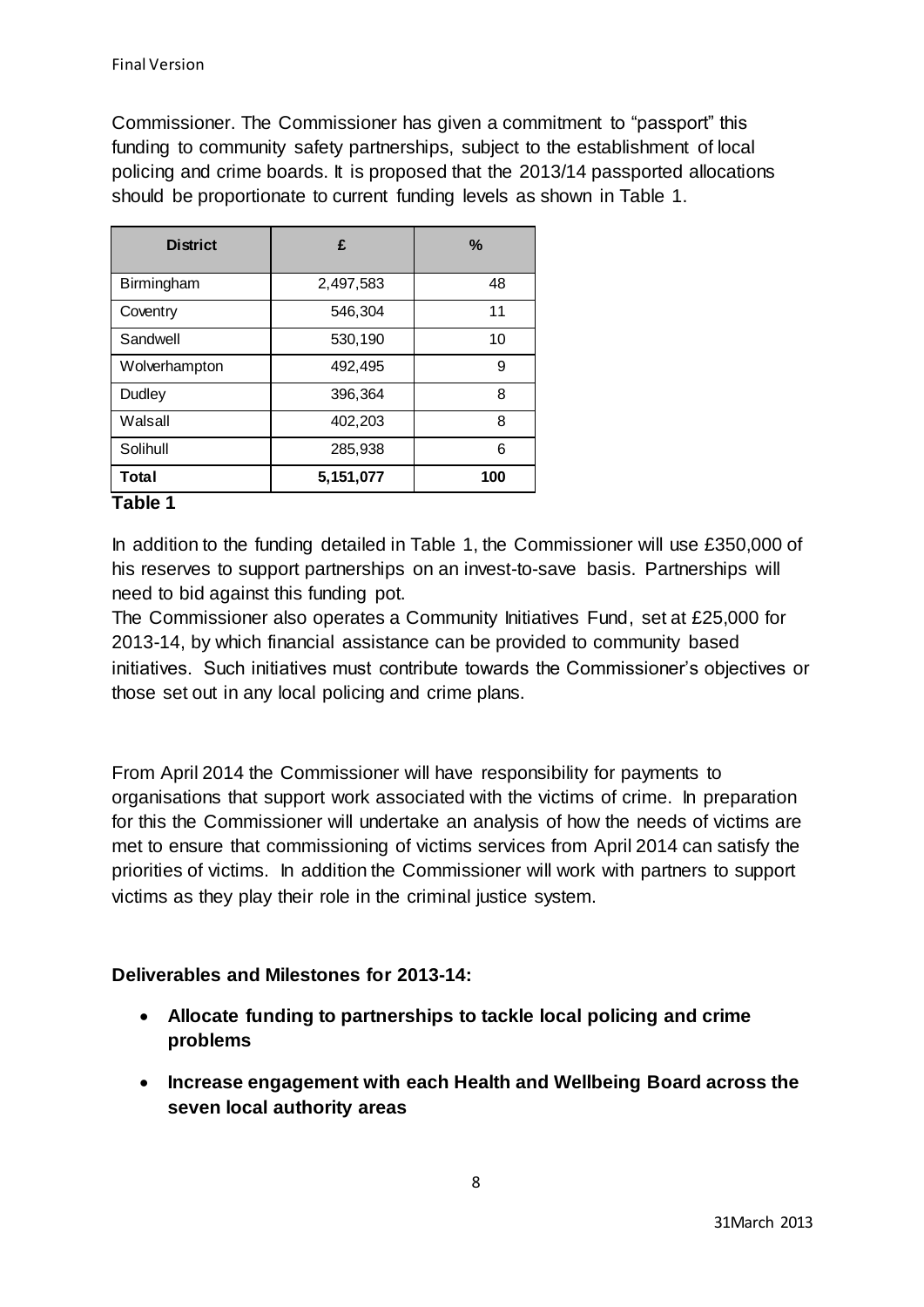Commissioner. The Commissioner has given a commitment to "passport" this funding to community safety partnerships, subject to the establishment of local policing and crime boards. It is proposed that the 2013/14 passported allocations should be proportionate to current funding levels as shown in Table 1.

| <b>District</b>   | £         | $\%$ |
|-------------------|-----------|------|
| Birmingham        | 2,497,583 | 48   |
| Coventry          | 546,304   | 11   |
| Sandwell          | 530,190   | 10   |
| Wolverhampton     | 492,495   | 9    |
| Dudley            | 396,364   | 8    |
| Walsall           | 402,203   | 8    |
| Solihull          | 285,938   | 6    |
| <b>Total</b><br>. | 5,151,077 | 100  |

## **Table 1**

In addition to the funding detailed in Table 1, the Commissioner will use £350,000 of his reserves to support partnerships on an invest-to-save basis. Partnerships will need to bid against this funding pot.

The Commissioner also operates a Community Initiatives Fund, set at £25,000 for 2013-14, by which financial assistance can be provided to community based initiatives. Such initiatives must contribute towards the Commissioner's objectives or those set out in any local policing and crime plans.

From April 2014 the Commissioner will have responsibility for payments to organisations that support work associated with the victims of crime. In preparation for this the Commissioner will undertake an analysis of how the needs of victims are met to ensure that commissioning of victims services from April 2014 can satisfy the priorities of victims. In addition the Commissioner will work with partners to support victims as they play their role in the criminal justice system.

# **Deliverables and Milestones for 2013-14:**

- **Allocate funding to partnerships to tackle local policing and crime problems**
- **Increase engagement with each Health and Wellbeing Board across the seven local authority areas**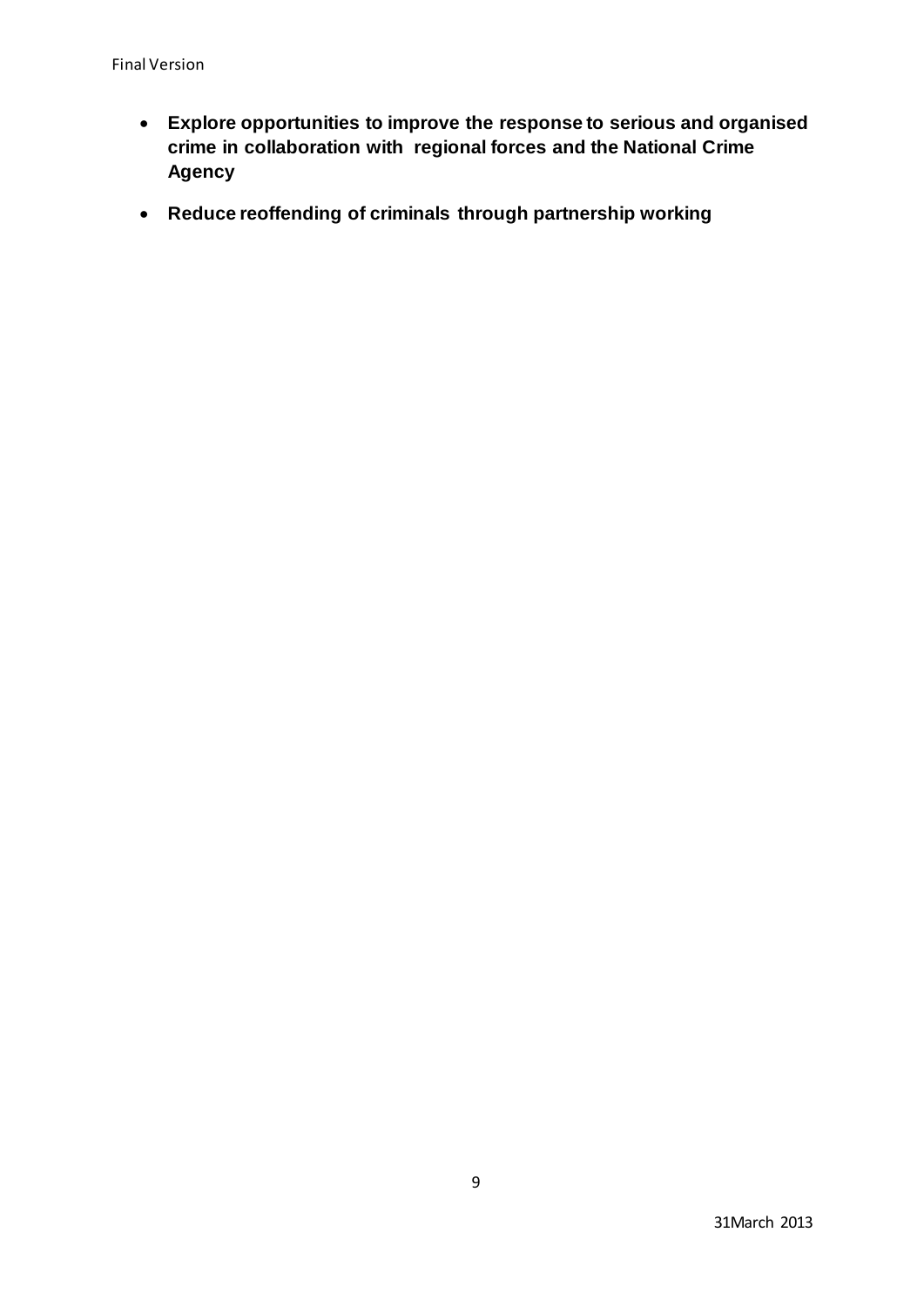- **Explore opportunities to improve the response to serious and organised crime in collaboration with regional forces and the National Crime Agency**
- **Reduce reoffending of criminals through partnership working**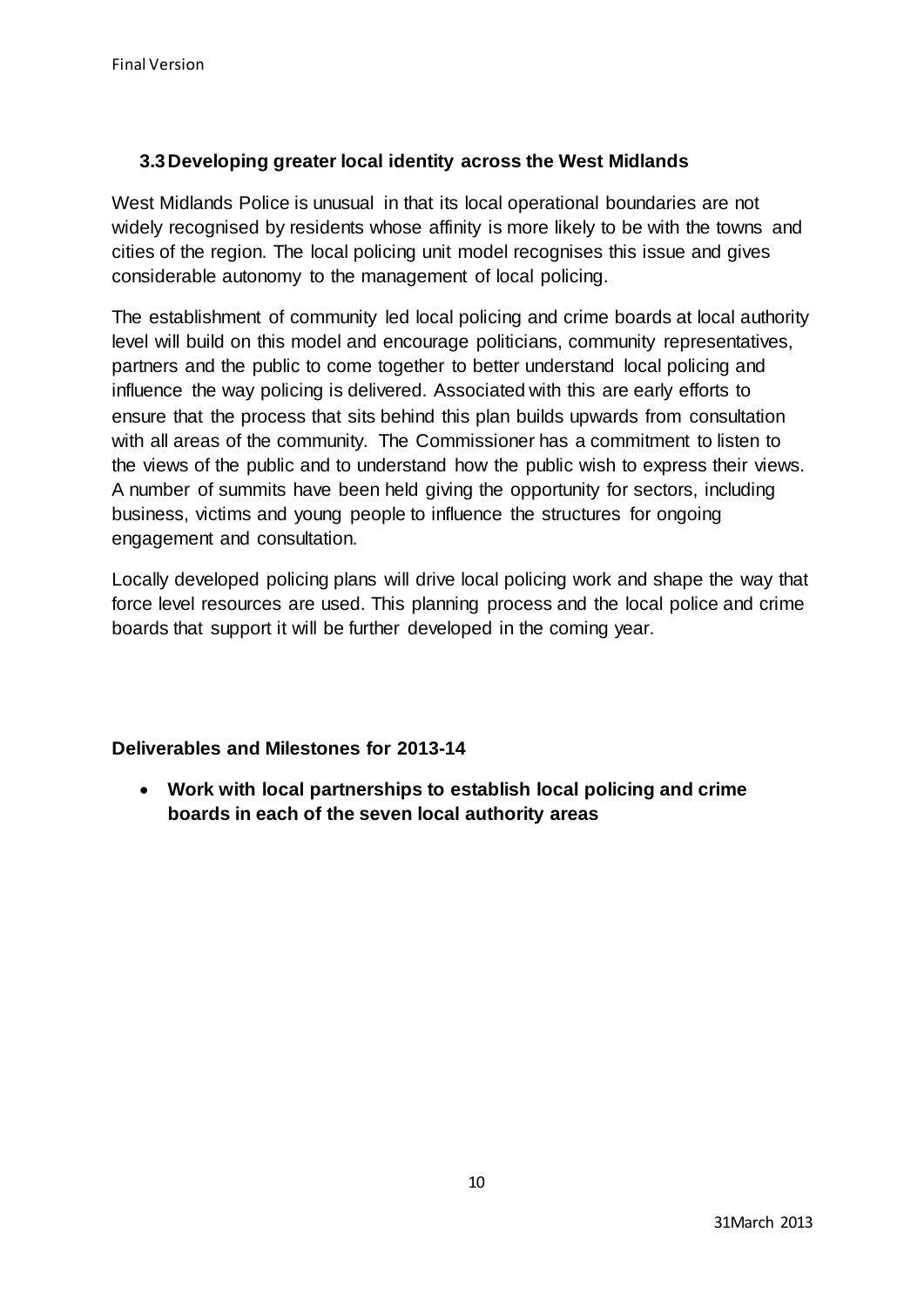# **3.3Developing greater local identity across the West Midlands**

West Midlands Police is unusual in that its local operational boundaries are not widely recognised by residents whose affinity is more likely to be with the towns and cities of the region. The local policing unit model recognises this issue and gives considerable autonomy to the management of local policing.

The establishment of community led local policing and crime boards at local authority level will build on this model and encourage politicians, community representatives, partners and the public to come together to better understand local policing and influence the way policing is delivered. Associated with this are early efforts to ensure that the process that sits behind this plan builds upwards from consultation with all areas of the community. The Commissioner has a commitment to listen to the views of the public and to understand how the public wish to express their views. A number of summits have been held giving the opportunity for sectors, including business, victims and young people to influence the structures for ongoing engagement and consultation.

Locally developed policing plans will drive local policing work and shape the way that force level resources are used. This planning process and the local police and crime boards that support it will be further developed in the coming year.

# **Deliverables and Milestones for 2013-14**

 **Work with local partnerships to establish local policing and crime boards in each of the seven local authority areas**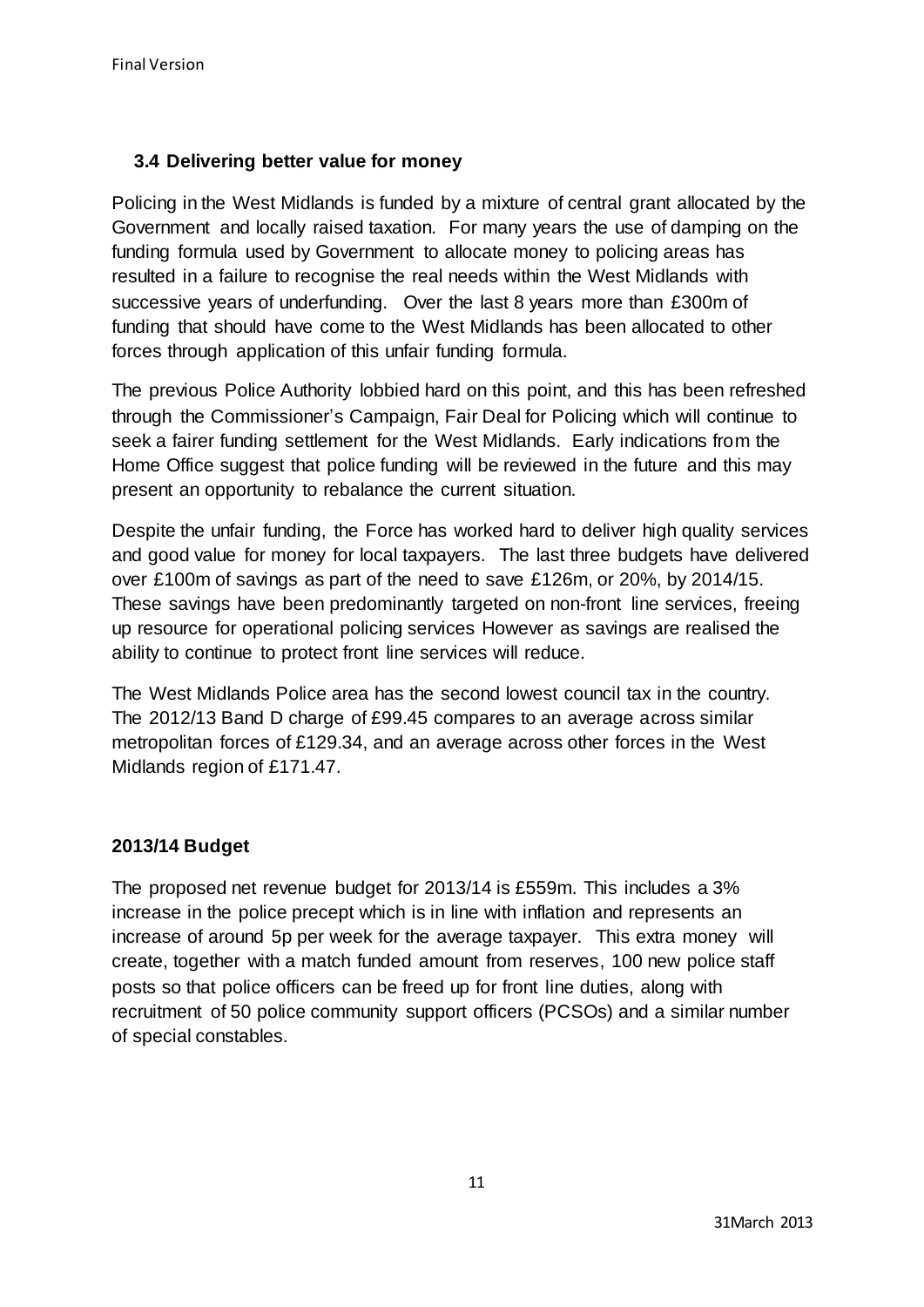# **3.4 Delivering better value for money**

Policing in the West Midlands is funded by a mixture of central grant allocated by the Government and locally raised taxation. For many years the use of damping on the funding formula used by Government to allocate money to policing areas has resulted in a failure to recognise the real needs within the West Midlands with successive years of underfunding. Over the last 8 years more than £300m of funding that should have come to the West Midlands has been allocated to other forces through application of this unfair funding formula.

The previous Police Authority lobbied hard on this point, and this has been refreshed through the Commissioner's Campaign, Fair Deal for Policing which will continue to seek a fairer funding settlement for the West Midlands. Early indications from the Home Office suggest that police funding will be reviewed in the future and this may present an opportunity to rebalance the current situation.

Despite the unfair funding, the Force has worked hard to deliver high quality services and good value for money for local taxpayers. The last three budgets have delivered over £100m of savings as part of the need to save £126m, or 20%, by 2014/15. These savings have been predominantly targeted on non-front line services, freeing up resource for operational policing services However as savings are realised the ability to continue to protect front line services will reduce.

The West Midlands Police area has the second lowest council tax in the country. The 2012/13 Band D charge of £99.45 compares to an average across similar metropolitan forces of £129.34, and an average across other forces in the West Midlands region of £171.47.

# **2013/14 Budget**

The proposed net revenue budget for 2013/14 is £559m. This includes a 3% increase in the police precept which is in line with inflation and represents an increase of around 5p per week for the average taxpayer. This extra money will create, together with a match funded amount from reserves, 100 new police staff posts so that police officers can be freed up for front line duties, along with recruitment of 50 police community support officers (PCSOs) and a similar number of special constables.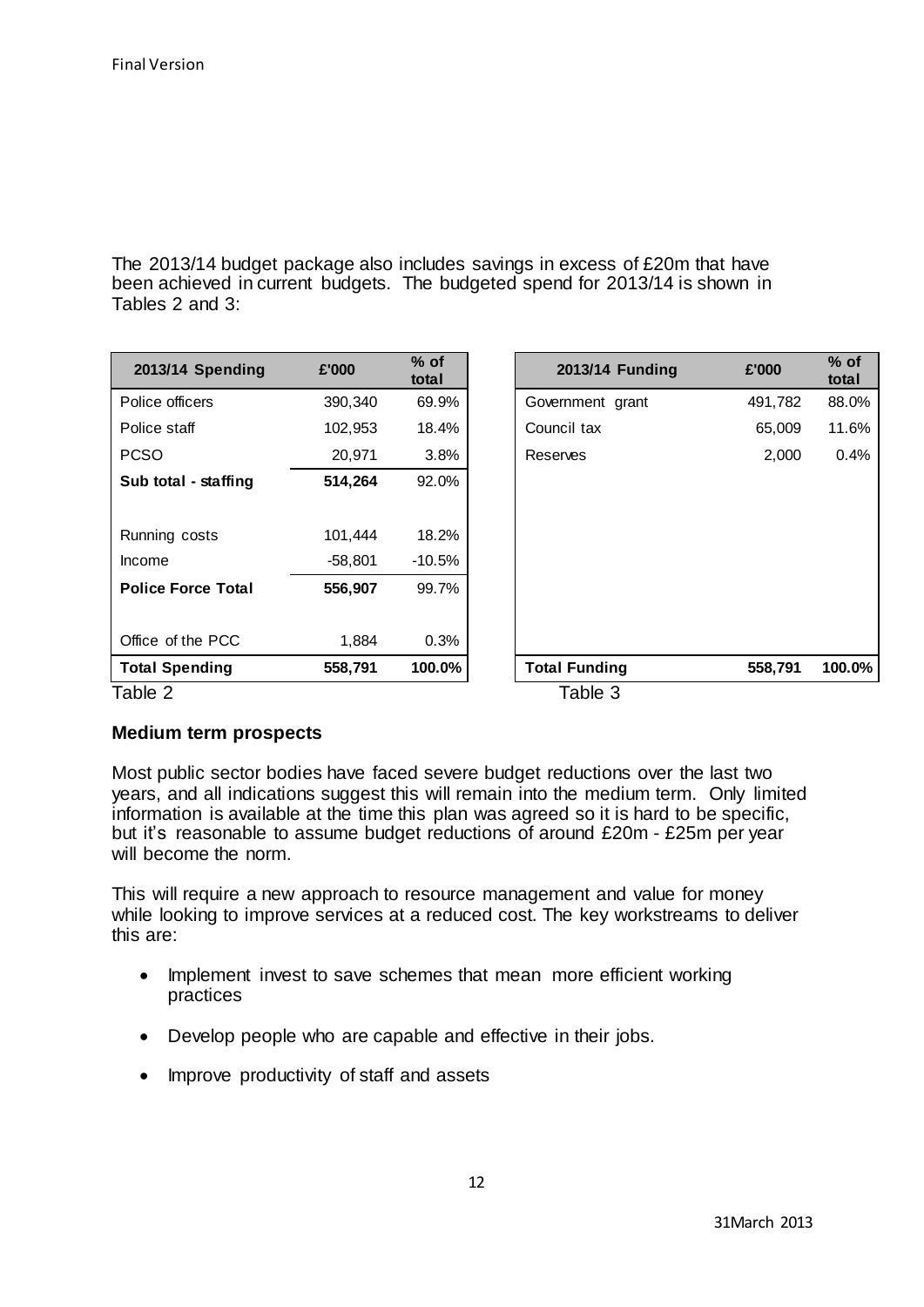The 2013/14 budget package also includes savings in excess of £20m that have been achieved in current budgets. The budgeted spend for 2013/14 is shown in Tables 2 and 3:

| 2013/14 Spending          | £'000   | $%$ of<br>total | 2013/14 Funding      | $%$ of<br>£'000<br>total |
|---------------------------|---------|-----------------|----------------------|--------------------------|
| Police officers           | 390,340 | 69.9%           | Government grant     | 88.0%<br>491,782         |
| Police staff              | 102,953 | 18.4%           | Council tax          | 11.6%<br>65,009          |
| <b>PCSO</b>               | 20,971  | 3.8%            | Reserves             | 0.4%<br>2,000            |
| Sub total - staffing      | 514,264 | 92.0%           |                      |                          |
|                           |         |                 |                      |                          |
| Running costs             | 101,444 | 18.2%           |                      |                          |
| Income                    | -58,801 | $-10.5%$        |                      |                          |
| <b>Police Force Total</b> | 556,907 | 99.7%           |                      |                          |
| Office of the PCC         | 1,884   | 0.3%            |                      |                          |
| <b>Total Spending</b>     | 558,791 | 100.0%          | <b>Total Funding</b> | 100.0%<br>558,791        |
| Table 2                   |         |                 | Table 3              |                          |

# **Medium term prospects**

Most public sector bodies have faced severe budget reductions over the last two years, and all indications suggest this will remain into the medium term. Only limited information is available at the time this plan was agreed so it is hard to be specific, but it's reasonable to assume budget reductions of around £20m - £25m per year will become the norm.

This will require a new approach to resource management and value for money while looking to improve services at a reduced cost. The key workstreams to deliver this are:

- Implement invest to save schemes that mean more efficient working practices
- Develop people who are capable and effective in their jobs.
- Improve productivity of staff and assets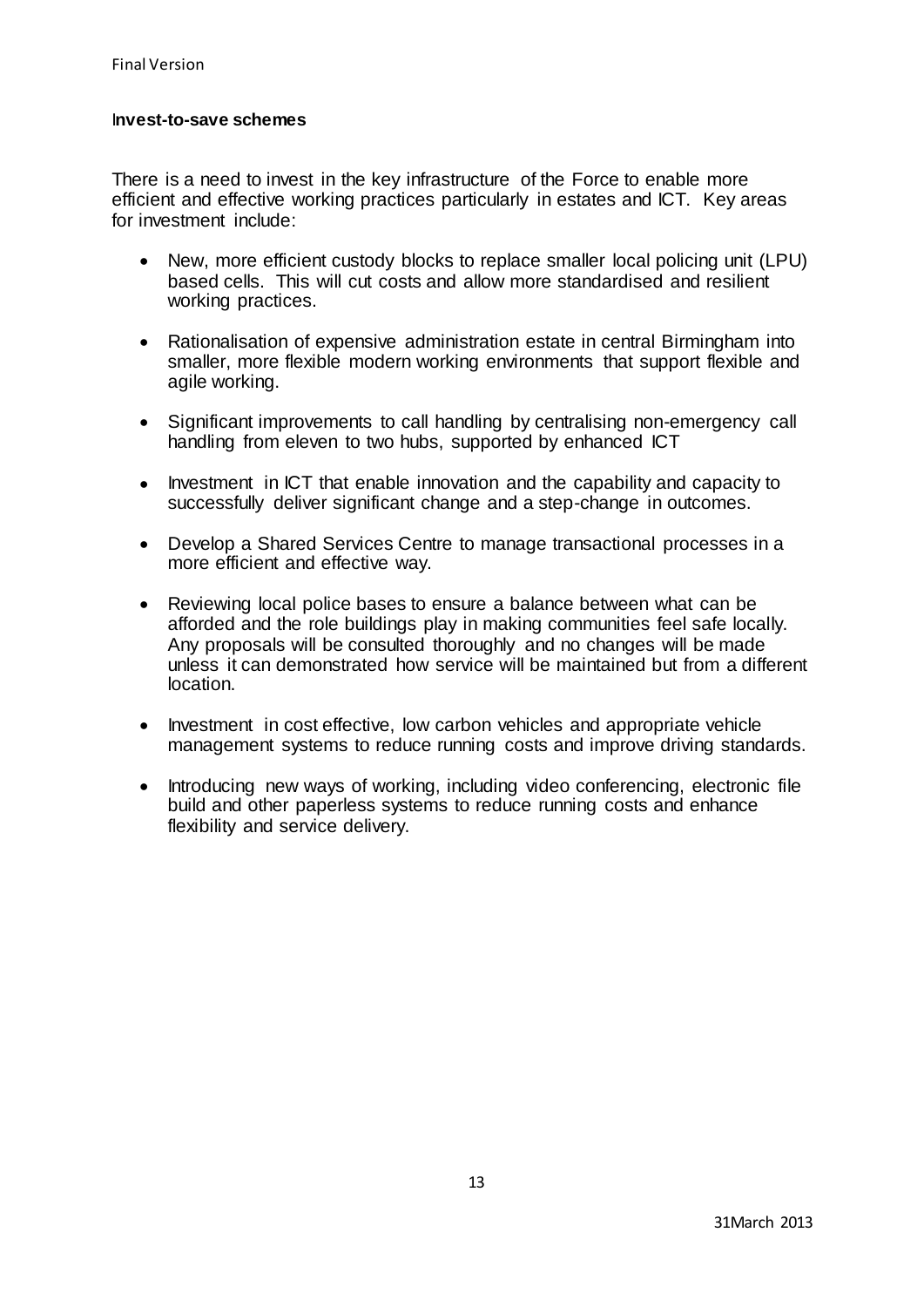### I**nvest-to-save schemes**

There is a need to invest in the key infrastructure of the Force to enable more efficient and effective working practices particularly in estates and ICT. Key areas for investment include:

- New, more efficient custody blocks to replace smaller local policing unit (LPU) based cells. This will cut costs and allow more standardised and resilient working practices.
- Rationalisation of expensive administration estate in central Birmingham into smaller, more flexible modern working environments that support flexible and agile working.
- Significant improvements to call handling by centralising non-emergency call handling from eleven to two hubs, supported by enhanced ICT
- Investment in ICT that enable innovation and the capability and capacity to successfully deliver significant change and a step-change in outcomes.
- Develop a Shared Services Centre to manage transactional processes in a more efficient and effective way.
- Reviewing local police bases to ensure a balance between what can be afforded and the role buildings play in making communities feel safe locally. Any proposals will be consulted thoroughly and no changes will be made unless it can demonstrated how service will be maintained but from a different location.
- Investment in cost effective, low carbon vehicles and appropriate vehicle management systems to reduce running costs and improve driving standards.
- Introducing new ways of working, including video conferencing, electronic file build and other paperless systems to reduce running costs and enhance flexibility and service delivery.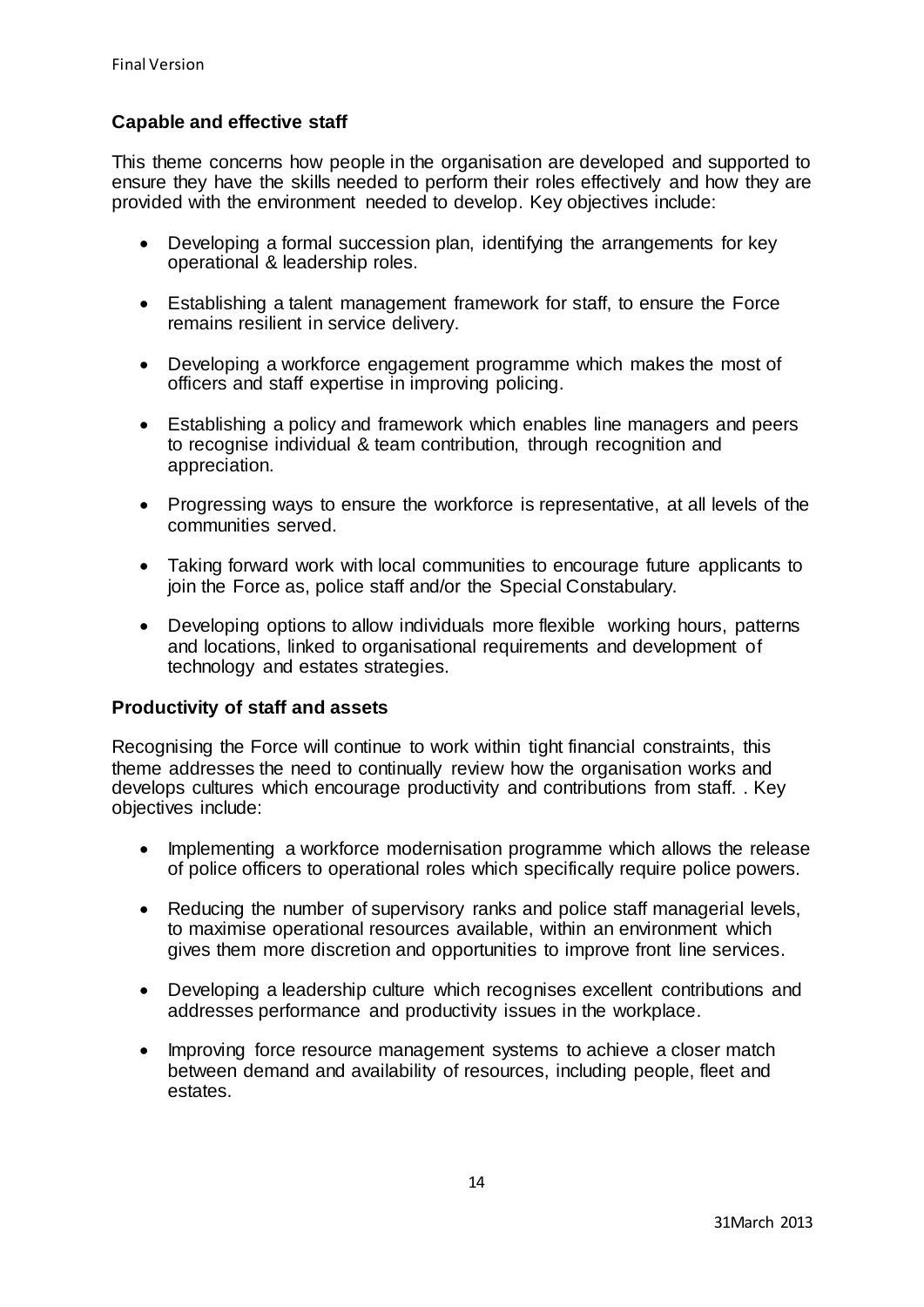# **Capable and effective staff**

This theme concerns how people in the organisation are developed and supported to ensure they have the skills needed to perform their roles effectively and how they are provided with the environment needed to develop. Key objectives include:

- Developing a formal succession plan, identifying the arrangements for key operational & leadership roles.
- Establishing a talent management framework for staff, to ensure the Force remains resilient in service delivery.
- Developing a workforce engagement programme which makes the most of officers and staff expertise in improving policing.
- Establishing a policy and framework which enables line managers and peers to recognise individual & team contribution, through recognition and appreciation.
- Progressing ways to ensure the workforce is representative, at all levels of the communities served.
- Taking forward work with local communities to encourage future applicants to join the Force as, police staff and/or the Special Constabulary.
- Developing options to allow individuals more flexible working hours, patterns and locations, linked to organisational requirements and development of technology and estates strategies.

### **Productivity of staff and assets**

Recognising the Force will continue to work within tight financial constraints, this theme addresses the need to continually review how the organisation works and develops cultures which encourage productivity and contributions from staff. . Key objectives include:

- Implementing a workforce modernisation programme which allows the release of police officers to operational roles which specifically require police powers.
- Reducing the number of supervisory ranks and police staff managerial levels, to maximise operational resources available, within an environment which gives them more discretion and opportunities to improve front line services.
- Developing a leadership culture which recognises excellent contributions and addresses performance and productivity issues in the workplace.
- Improving force resource management systems to achieve a closer match between demand and availability of resources, including people, fleet and estates.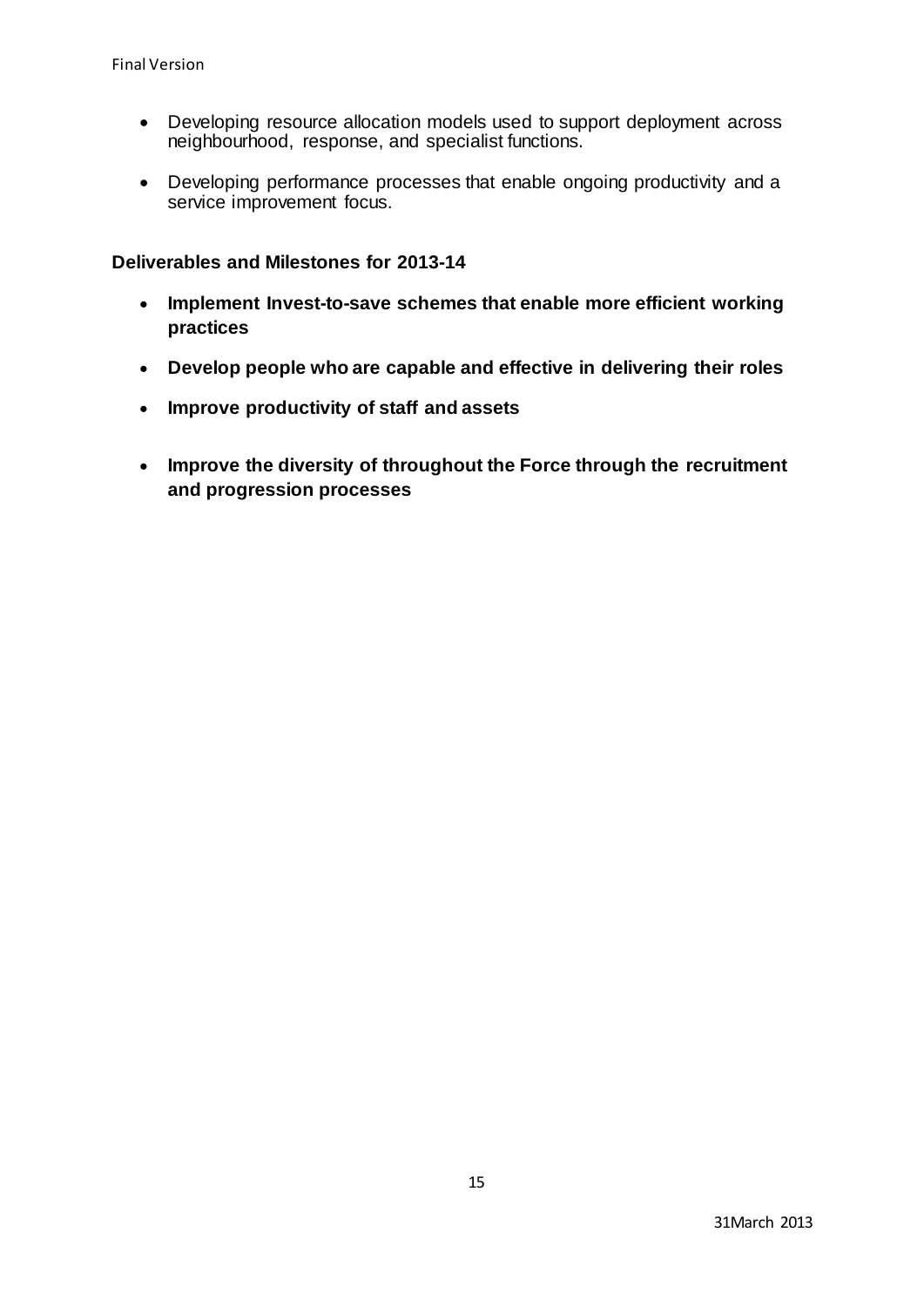- Developing resource allocation models used to support deployment across neighbourhood, response, and specialist functions.
- Developing performance processes that enable ongoing productivity and a service improvement focus.

# **Deliverables and Milestones for 2013-14**

- **Implement Invest-to-save schemes that enable more efficient working practices**
- **Develop people who are capable and effective in delivering their roles**
- **Improve productivity of staff and assets**
- **Improve the diversity of throughout the Force through the recruitment and progression processes**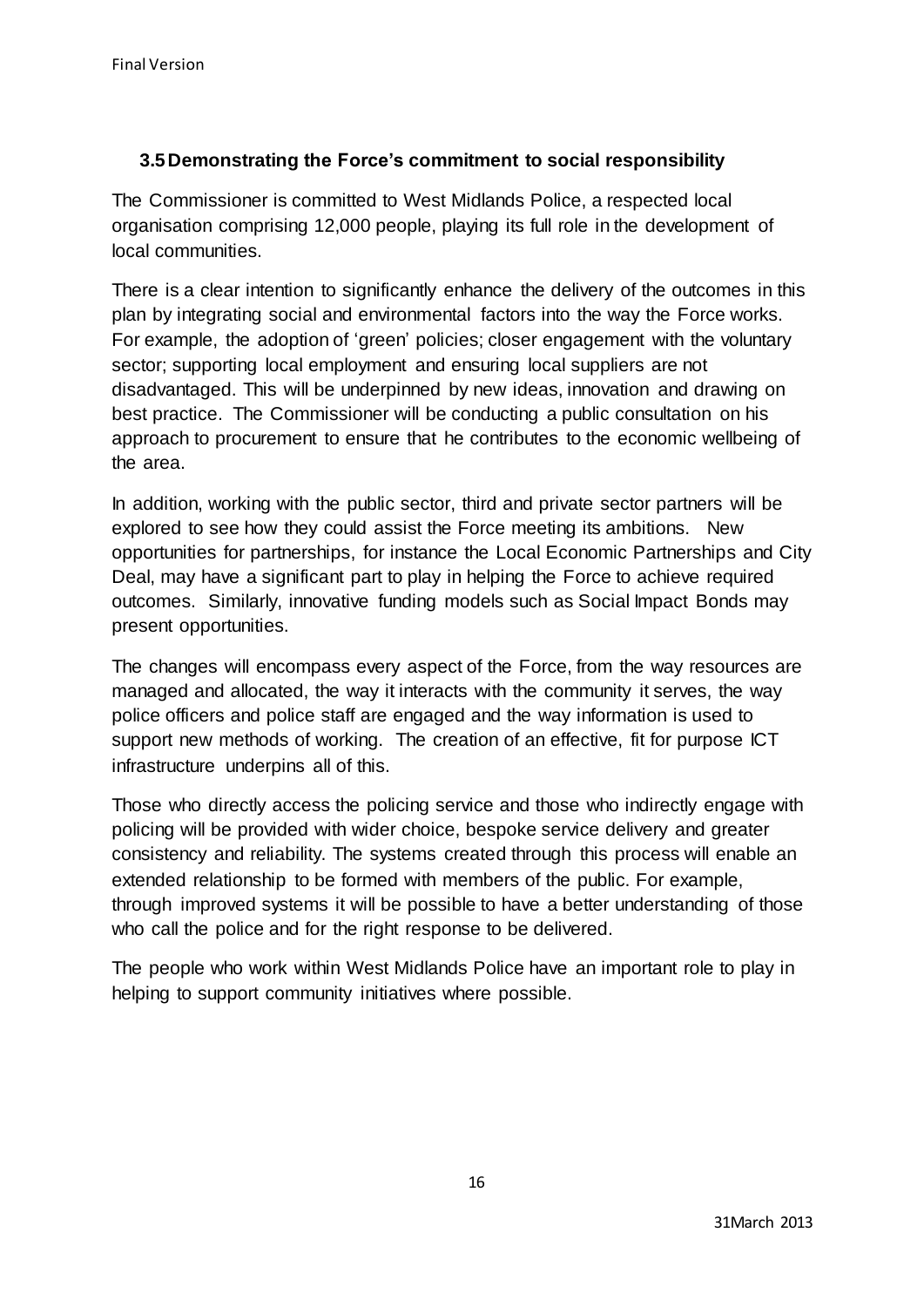# **3.5Demonstrating the Force's commitment to social responsibility**

The Commissioner is committed to West Midlands Police, a respected local organisation comprising 12,000 people, playing its full role in the development of local communities.

There is a clear intention to significantly enhance the delivery of the outcomes in this plan by integrating social and environmental factors into the way the Force works. For example, the adoption of 'green' policies; closer engagement with the voluntary sector; supporting local employment and ensuring local suppliers are not disadvantaged. This will be underpinned by new ideas, innovation and drawing on best practice. The Commissioner will be conducting a public consultation on his approach to procurement to ensure that he contributes to the economic wellbeing of the area.

In addition, working with the public sector, third and private sector partners will be explored to see how they could assist the Force meeting its ambitions. New opportunities for partnerships, for instance the Local Economic Partnerships and City Deal, may have a significant part to play in helping the Force to achieve required outcomes. Similarly, innovative funding models such as Social Impact Bonds may present opportunities.

The changes will encompass every aspect of the Force, from the way resources are managed and allocated, the way it interacts with the community it serves, the way police officers and police staff are engaged and the way information is used to support new methods of working. The creation of an effective, fit for purpose ICT infrastructure underpins all of this.

Those who directly access the policing service and those who indirectly engage with policing will be provided with wider choice, bespoke service delivery and greater consistency and reliability. The systems created through this process will enable an extended relationship to be formed with members of the public. For example, through improved systems it will be possible to have a better understanding of those who call the police and for the right response to be delivered.

The people who work within West Midlands Police have an important role to play in helping to support community initiatives where possible.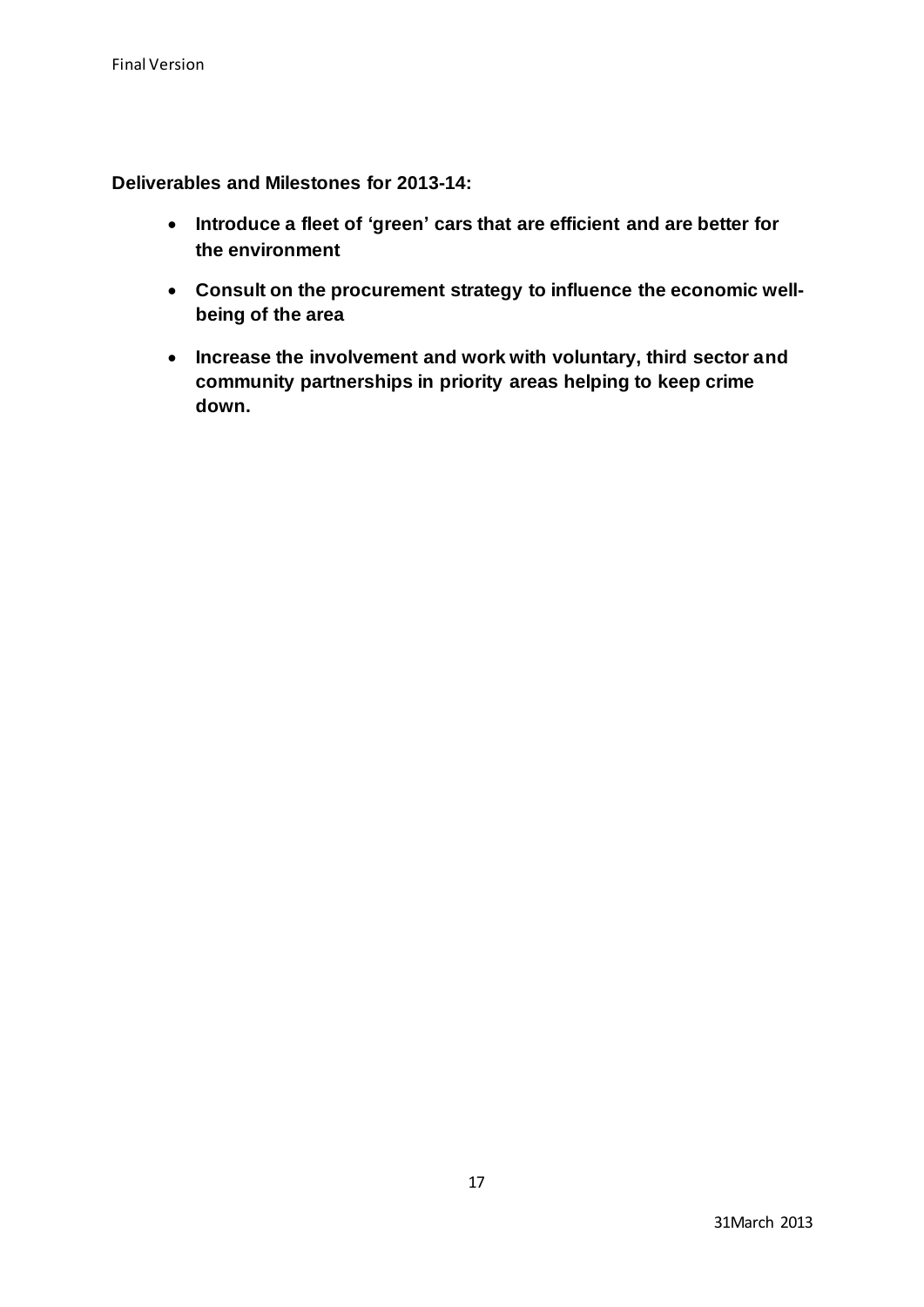**Deliverables and Milestones for 2013-14:**

- **Introduce a fleet of 'green' cars that are efficient and are better for the environment**
- **Consult on the procurement strategy to influence the economic wellbeing of the area**
- **Increase the involvement and work with voluntary, third sector and community partnerships in priority areas helping to keep crime down.**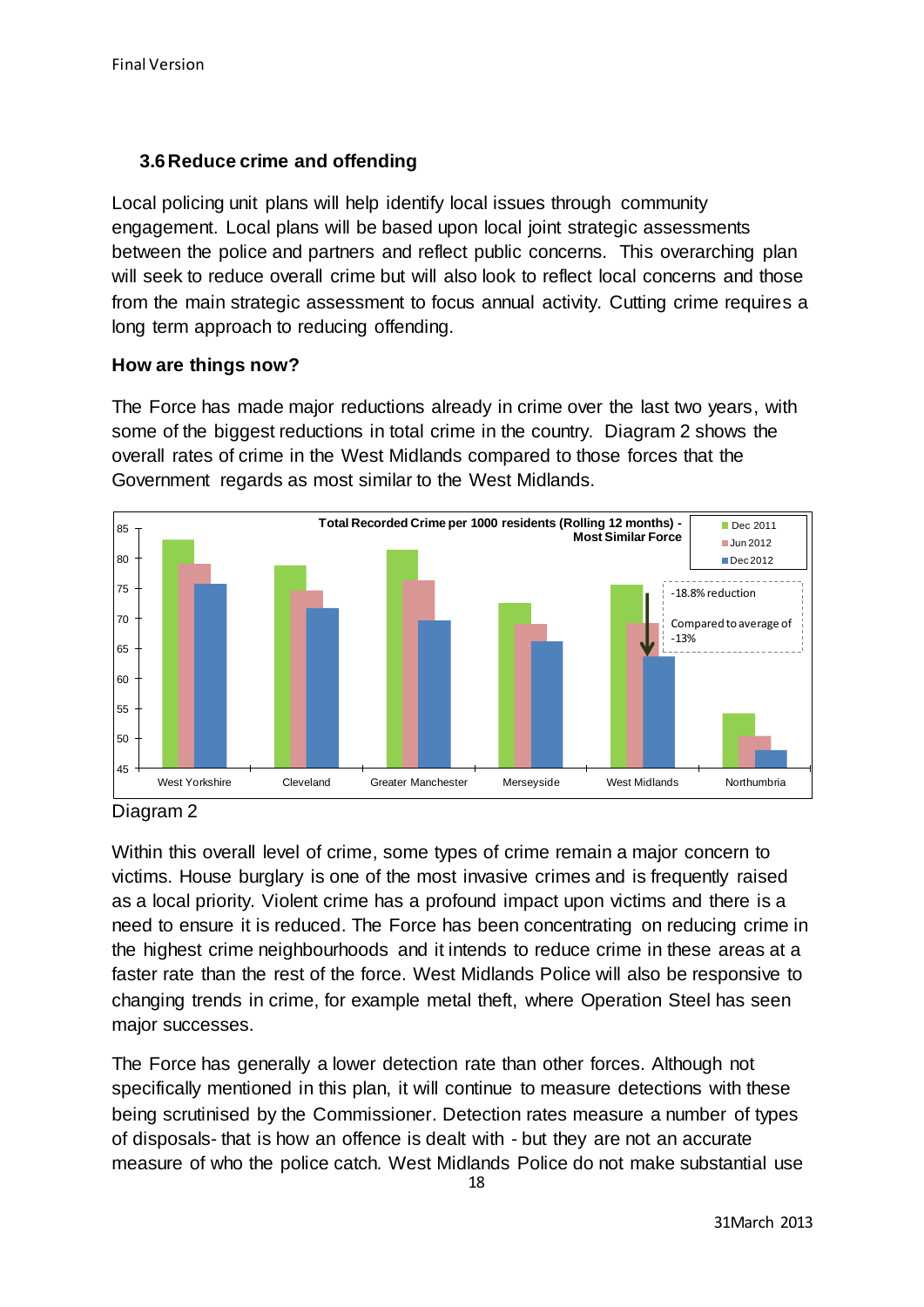# **3.6Reduce crime and offending**

Local policing unit plans will help identify local issues through community engagement. Local plans will be based upon local joint strategic assessments between the police and partners and reflect public concerns. This overarching plan will seek to reduce overall crime but will also look to reflect local concerns and those from the main strategic assessment to focus annual activity. Cutting crime requires a long term approach to reducing offending.

# **How are things now?**

The Force has made major reductions already in crime over the last two years, with some of the biggest reductions in total crime in the country. Diagram 2 shows the overall rates of crime in the West Midlands compared to those forces that the Government regards as most similar to the West Midlands.



Diagram 2

Within this overall level of crime, some types of crime remain a major concern to victims. House burglary is one of the most invasive crimes and is frequently raised as a local priority. Violent crime has a profound impact upon victims and there is a need to ensure it is reduced. The Force has been concentrating on reducing crime in the highest crime neighbourhoods and it intends to reduce crime in these areas at a faster rate than the rest of the force. West Midlands Police will also be responsive to changing trends in crime, for example metal theft, where Operation Steel has seen major successes.

The Force has generally a lower detection rate than other forces. Although not specifically mentioned in this plan, it will continue to measure detections with these being scrutinised by the Commissioner. Detection rates measure a number of types of disposals- that is how an offence is dealt with - but they are not an accurate measure of who the police catch. West Midlands Police do not make substantial use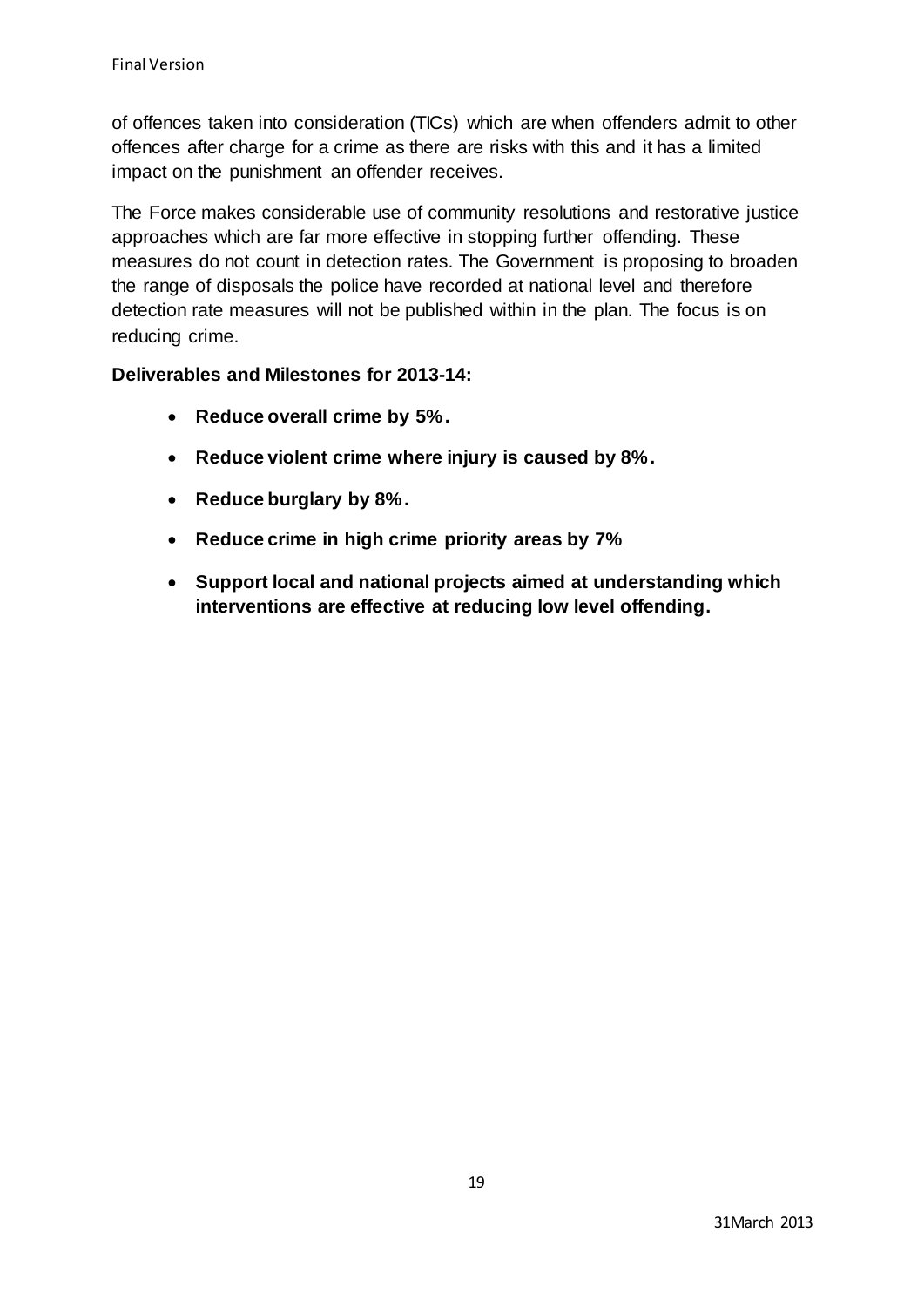of offences taken into consideration (TICs) which are when offenders admit to other offences after charge for a crime as there are risks with this and it has a limited impact on the punishment an offender receives.

The Force makes considerable use of community resolutions and restorative justice approaches which are far more effective in stopping further offending. These measures do not count in detection rates. The Government is proposing to broaden the range of disposals the police have recorded at national level and therefore detection rate measures will not be published within in the plan. The focus is on reducing crime.

# **Deliverables and Milestones for 2013-14:**

- **Reduce overall crime by 5%.**
- **Reduce violent crime where injury is caused by 8%.**
- **Reduce burglary by 8%.**
- **Reduce crime in high crime priority areas by 7%**
- **Support local and national projects aimed at understanding which interventions are effective at reducing low level offending.**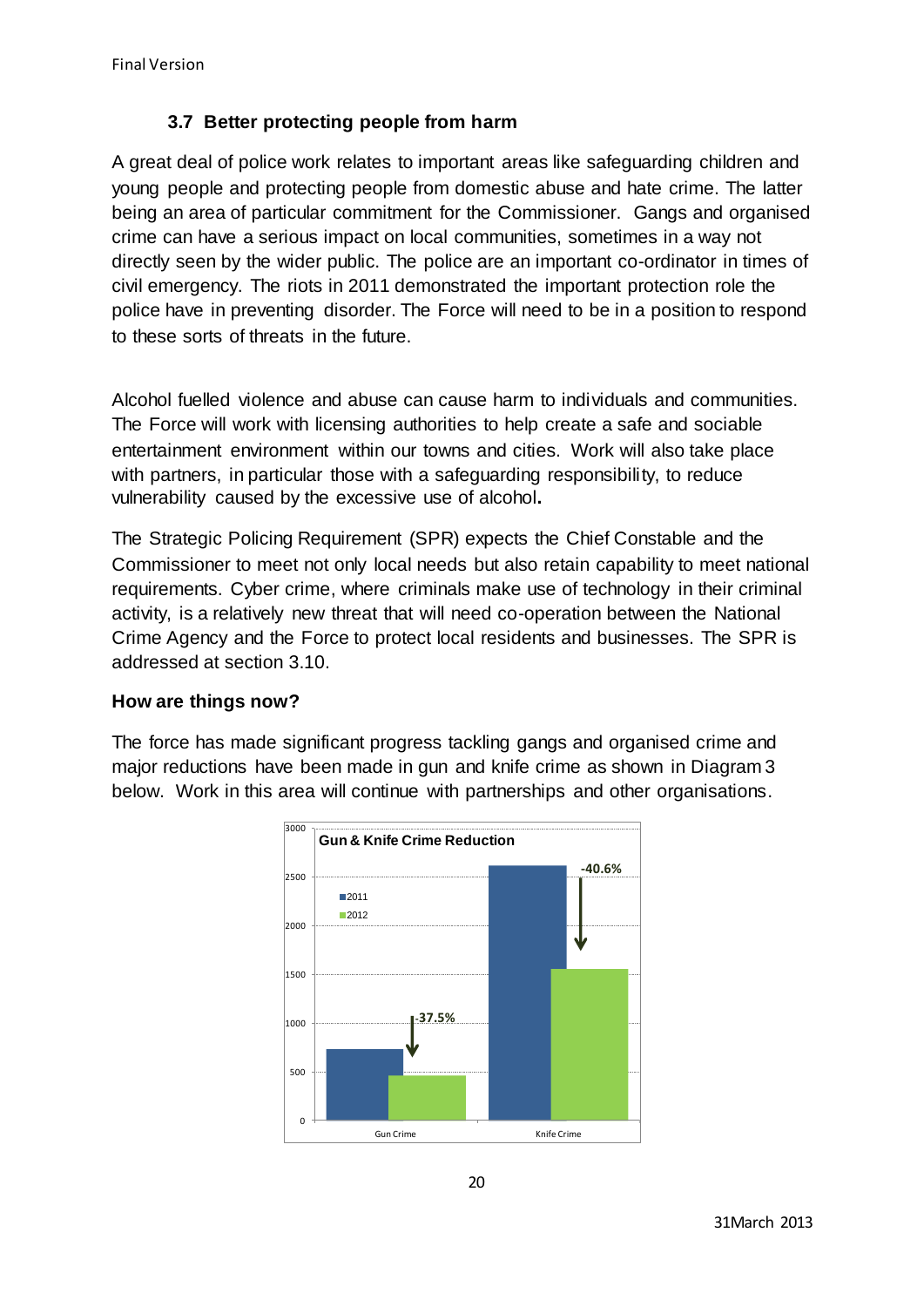# **3.7 Better protecting people from harm**

A great deal of police work relates to important areas like safeguarding children and young people and protecting people from domestic abuse and hate crime. The latter being an area of particular commitment for the Commissioner. Gangs and organised crime can have a serious impact on local communities, sometimes in a way not directly seen by the wider public. The police are an important co-ordinator in times of civil emergency. The riots in 2011 demonstrated the important protection role the police have in preventing disorder. The Force will need to be in a position to respond to these sorts of threats in the future.

Alcohol fuelled violence and abuse can cause harm to individuals and communities. The Force will work with licensing authorities to help create a safe and sociable entertainment environment within our towns and cities. Work will also take place with partners, in particular those with a safeguarding responsibility, to reduce vulnerability caused by the excessive use of alcohol**.**

The Strategic Policing Requirement (SPR) expects the Chief Constable and the Commissioner to meet not only local needs but also retain capability to meet national requirements. Cyber crime, where criminals make use of technology in their criminal activity, is a relatively new threat that will need co-operation between the National Crime Agency and the Force to protect local residents and businesses. The SPR is addressed at section 3.10.

# **How are things now?**

The force has made significant progress tackling gangs and organised crime and major reductions have been made in gun and knife crime as shown in Diagram 3 below. Work in this area will continue with partnerships and other organisations.

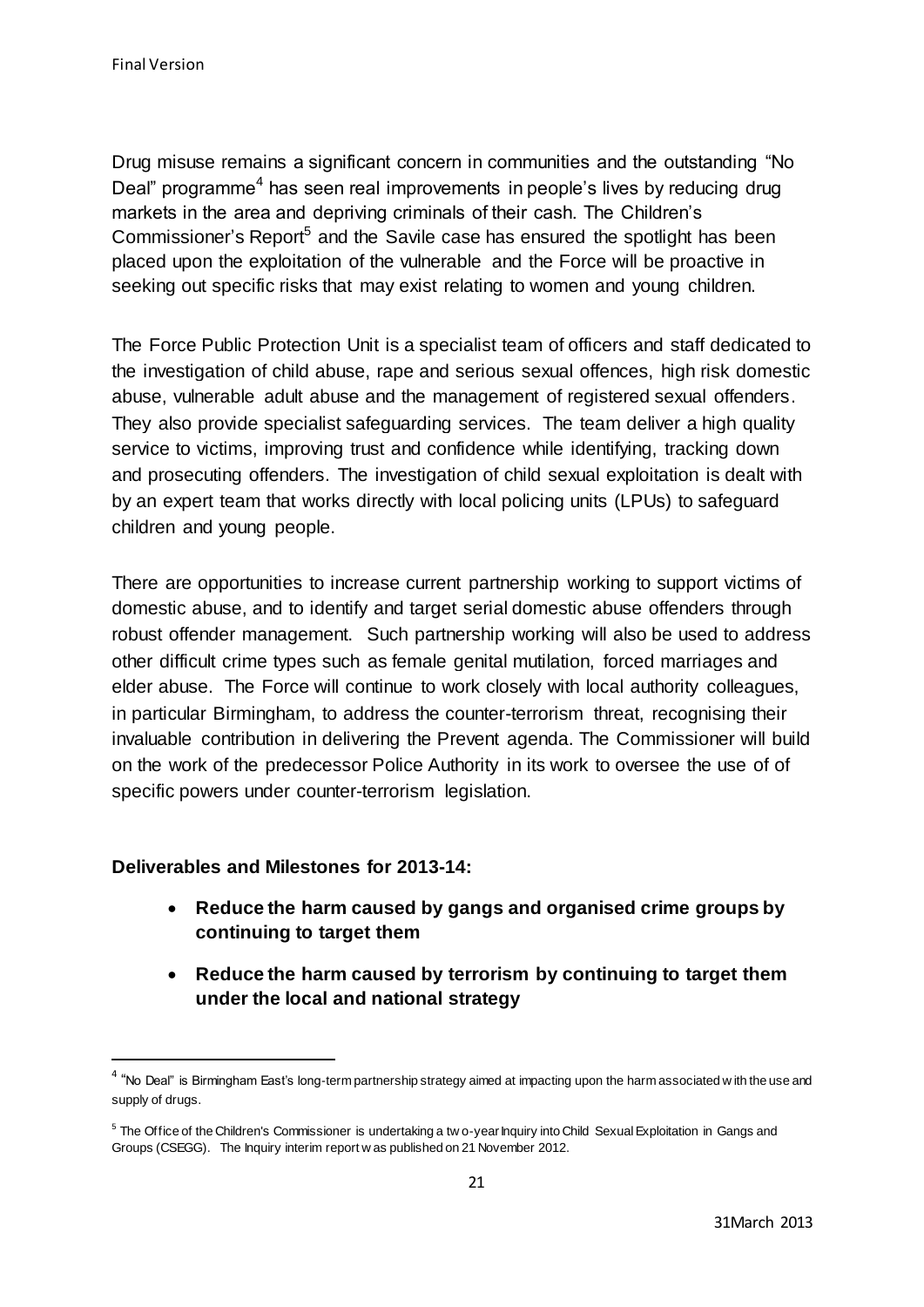Drug misuse remains a significant concern in communities and the outstanding "No Deal" programme<sup>4</sup> has seen real improvements in people's lives by reducing drug markets in the area and depriving criminals of their cash. The Children's Commissioner's Report<sup>5</sup> and the Savile case has ensured the spotlight has been placed upon the exploitation of the vulnerable and the Force will be proactive in seeking out specific risks that may exist relating to women and young children.

The Force Public Protection Unit is a specialist team of officers and staff dedicated to the investigation of child abuse, rape and serious sexual offences, high risk domestic abuse, vulnerable adult abuse and the management of registered sexual offenders. They also provide specialist safeguarding services. The team deliver a high quality service to victims, improving trust and confidence while identifying, tracking down and prosecuting offenders. The investigation of child sexual exploitation is dealt with by an expert team that works directly with local policing units (LPUs) to safeguard children and young people.

There are opportunities to increase current partnership working to support victims of domestic abuse, and to identify and target serial domestic abuse offenders through robust offender management. Such partnership working will also be used to address other difficult crime types such as female genital mutilation, forced marriages and elder abuse. The Force will continue to work closely with local authority colleagues, in particular Birmingham, to address the counter-terrorism threat, recognising their invaluable contribution in delivering the Prevent agenda. The Commissioner will build on the work of the predecessor Police Authority in its work to oversee the use of of specific powers under counter-terrorism legislation.

# **Deliverables and Milestones for 2013-14:**

 $\overline{a}$ 

- **Reduce the harm caused by gangs and organised crime groups by continuing to target them**
- **Reduce the harm caused by terrorism by continuing to target them under the local and national strategy**

 $4$  "No Deal" is Birmingham East's long-term partnership strategy aimed at impacting upon the harm associated w ith the use and supply of drugs.

<sup>&</sup>lt;sup>5</sup> The Office of the Children's Commissioner is undertaking a tw o-year Inquiry into Child Sexual Exploitation in Gangs and Groups (CSEGG). The Inquiry interim report w as published on 21 November 2012.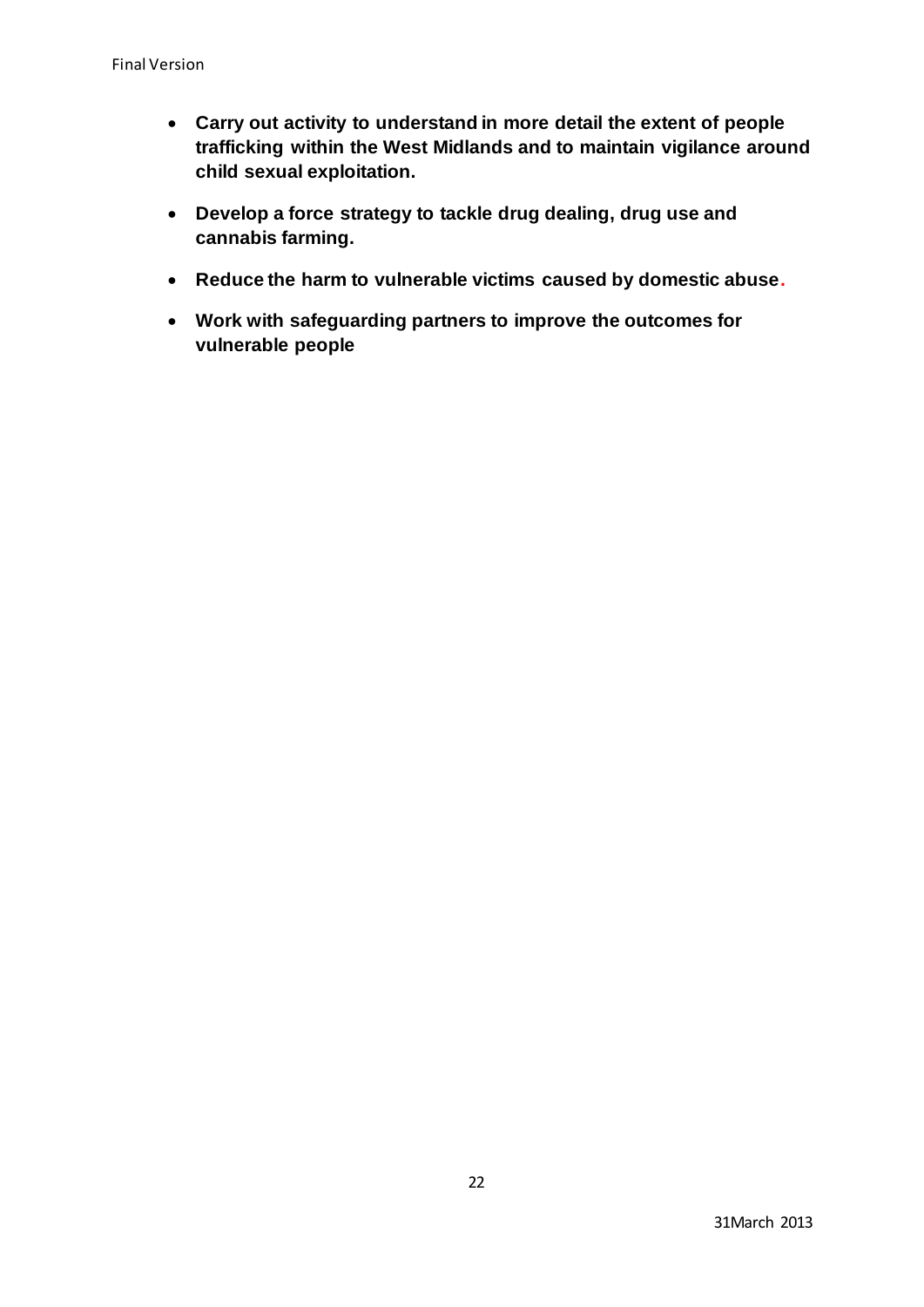- **Carry out activity to understand in more detail the extent of people trafficking within the West Midlands and to maintain vigilance around child sexual exploitation.**
- **Develop a force strategy to tackle drug dealing, drug use and cannabis farming.**
- **Reduce the harm to vulnerable victims caused by domestic abuse.**
- **Work with safeguarding partners to improve the outcomes for vulnerable people**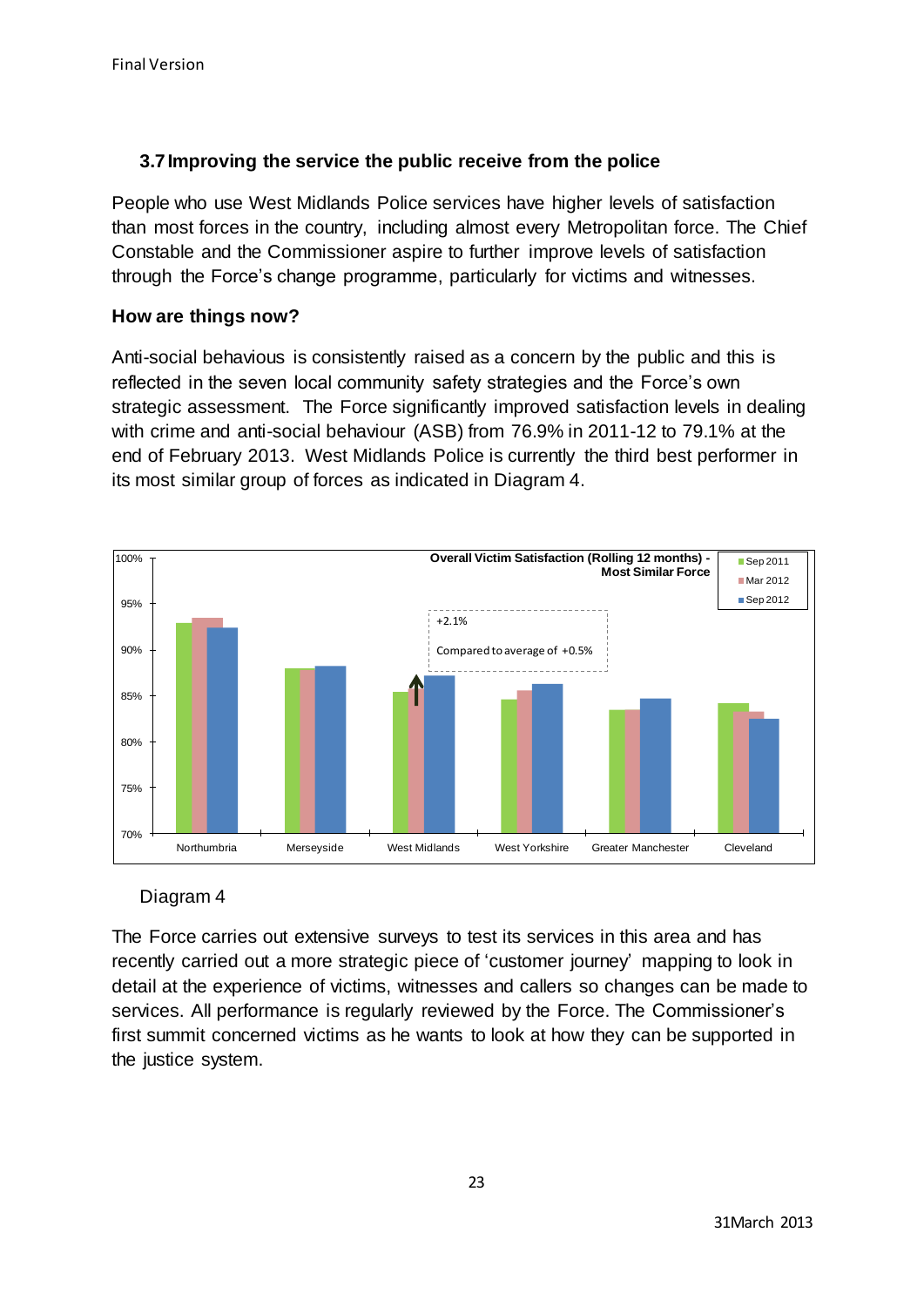# **3.7Improving the service the public receive from the police**

People who use West Midlands Police services have higher levels of satisfaction than most forces in the country, including almost every Metropolitan force. The Chief Constable and the Commissioner aspire to further improve levels of satisfaction through the Force's change programme, particularly for victims and witnesses.

# **How are things now?**

Anti-social behavious is consistently raised as a concern by the public and this is reflected in the seven local community safety strategies and the Force's own strategic assessment. The Force significantly improved satisfaction levels in dealing with crime and anti-social behaviour (ASB) from 76.9% in 2011-12 to 79.1% at the end of February 2013. West Midlands Police is currently the third best performer in its most similar group of forces as indicated in Diagram 4.



# Diagram 4

The Force carries out extensive surveys to test its services in this area and has recently carried out a more strategic piece of 'customer journey' mapping to look in detail at the experience of victims, witnesses and callers so changes can be made to services. All performance is regularly reviewed by the Force. The Commissioner's first summit concerned victims as he wants to look at how they can be supported in the justice system.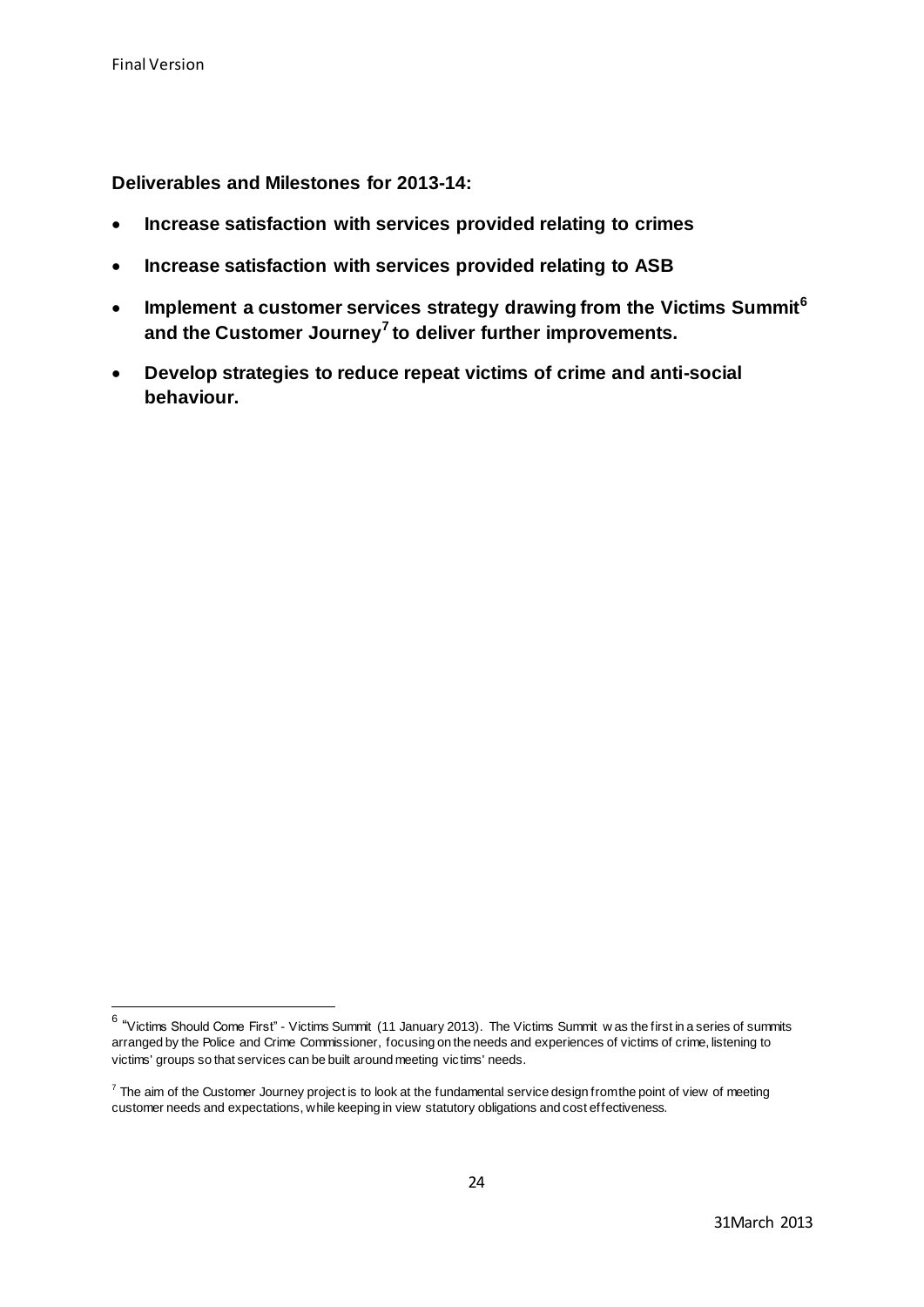**Deliverables and Milestones for 2013-14:**

- **Increase satisfaction with services provided relating to crimes**
- **Increase satisfaction with services provided relating to ASB**
- **Implement a customer services strategy drawing from the Victims Summit<sup>6</sup> and the Customer Journey<sup>7</sup> to deliver further improvements.**
- **Develop strategies to reduce repeat victims of crime and anti-social behaviour.**

 6 "Victims Should Come First" - Victims Summit (11 January 2013). The Victims Summit w as the first in a series of summits arranged by the Police and Crime Commissioner, focusing on the needs and experiences of victims of crime, listening to victims' groups so that services can be built around meeting victims' needs.

 $7$  The aim of the Customer Journey project is to look at the fundamental service design from the point of view of meeting customer needs and expectations, while keeping in view statutory obligations and cost effectiveness.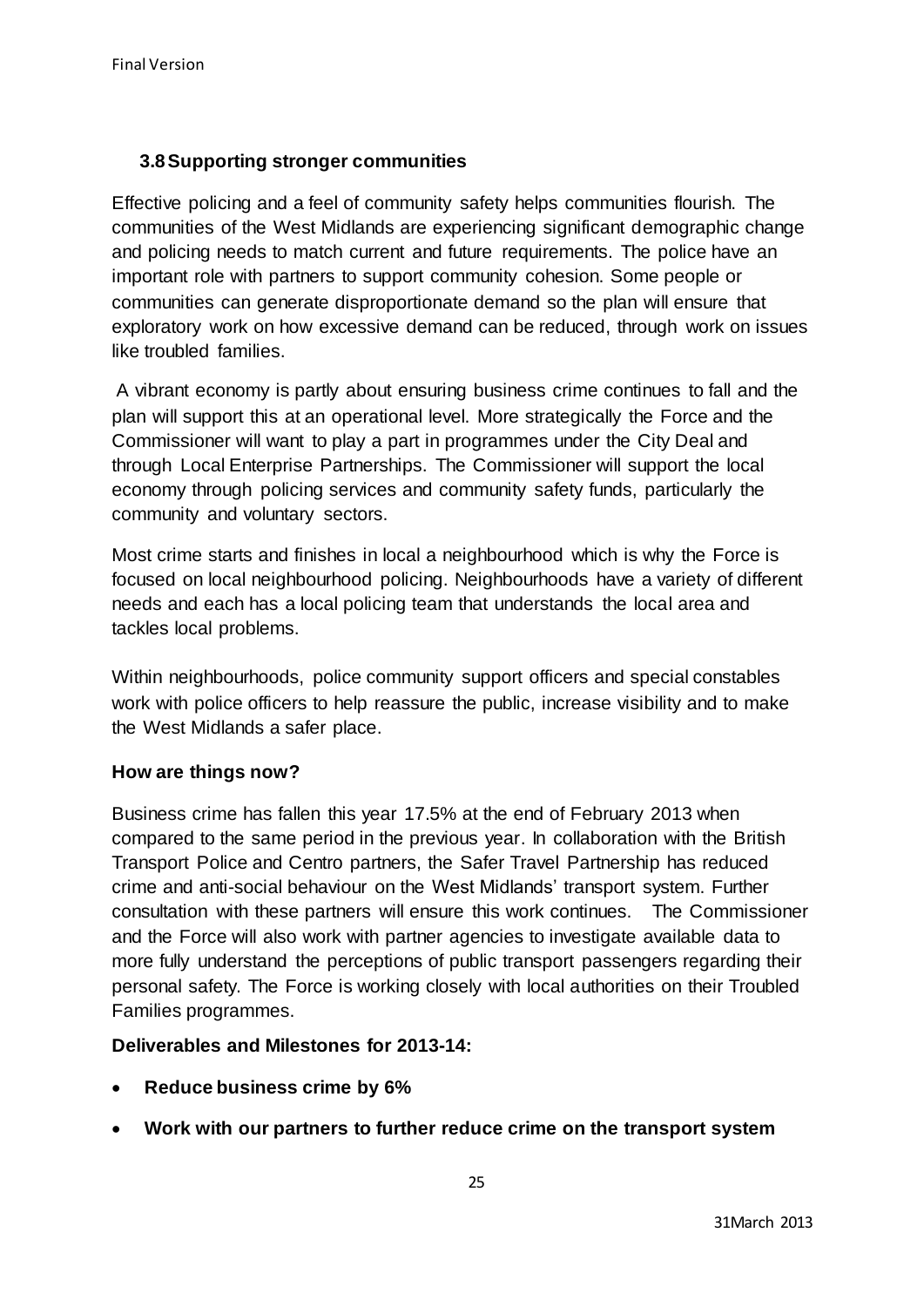# **3.8Supporting stronger communities**

Effective policing and a feel of community safety helps communities flourish. The communities of the West Midlands are experiencing significant demographic change and policing needs to match current and future requirements. The police have an important role with partners to support community cohesion. Some people or communities can generate disproportionate demand so the plan will ensure that exploratory work on how excessive demand can be reduced, through work on issues like troubled families.

A vibrant economy is partly about ensuring business crime continues to fall and the plan will support this at an operational level. More strategically the Force and the Commissioner will want to play a part in programmes under the City Deal and through Local Enterprise Partnerships. The Commissioner will support the local economy through policing services and community safety funds, particularly the community and voluntary sectors.

Most crime starts and finishes in local a neighbourhood which is why the Force is focused on local neighbourhood policing. Neighbourhoods have a variety of different needs and each has a local policing team that understands the local area and tackles local problems.

Within neighbourhoods, police community support officers and special constables work with police officers to help reassure the public, increase visibility and to make the West Midlands a safer place.

# **How are things now?**

Business crime has fallen this year 17.5% at the end of February 2013 when compared to the same period in the previous year. In collaboration with the British Transport Police and Centro partners, the Safer Travel Partnership has reduced crime and anti-social behaviour on the West Midlands' transport system. Further consultation with these partners will ensure this work continues. The Commissioner and the Force will also work with partner agencies to investigate available data to more fully understand the perceptions of public transport passengers regarding their personal safety. The Force is working closely with local authorities on their Troubled Families programmes.

# **Deliverables and Milestones for 2013-14:**

- **Reduce business crime by 6%**
- **Work with our partners to further reduce crime on the transport system**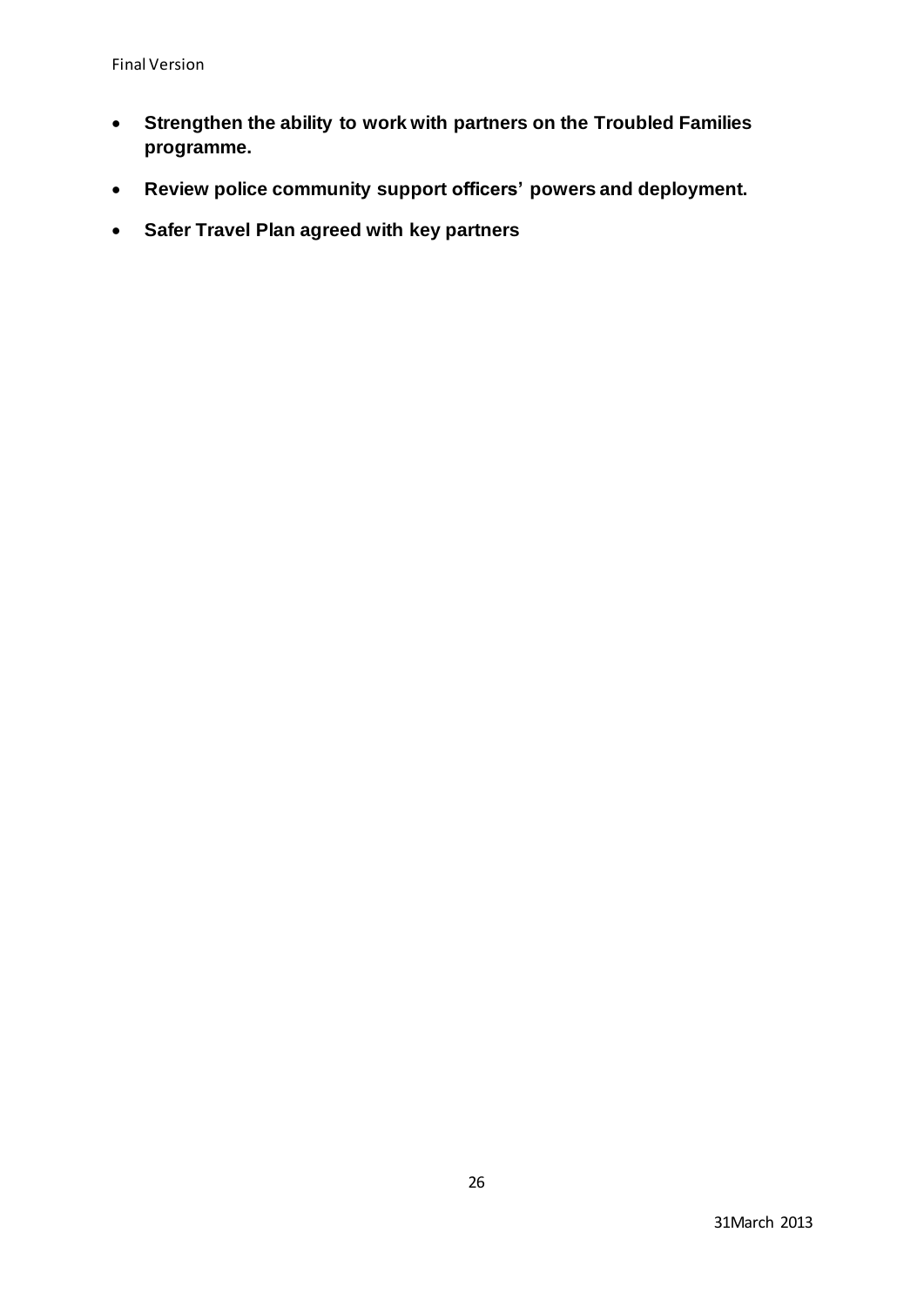- **Strengthen the ability to work with partners on the Troubled Families programme.**
- **Review police community support officers' powers and deployment.**
- **Safer Travel Plan agreed with key partners**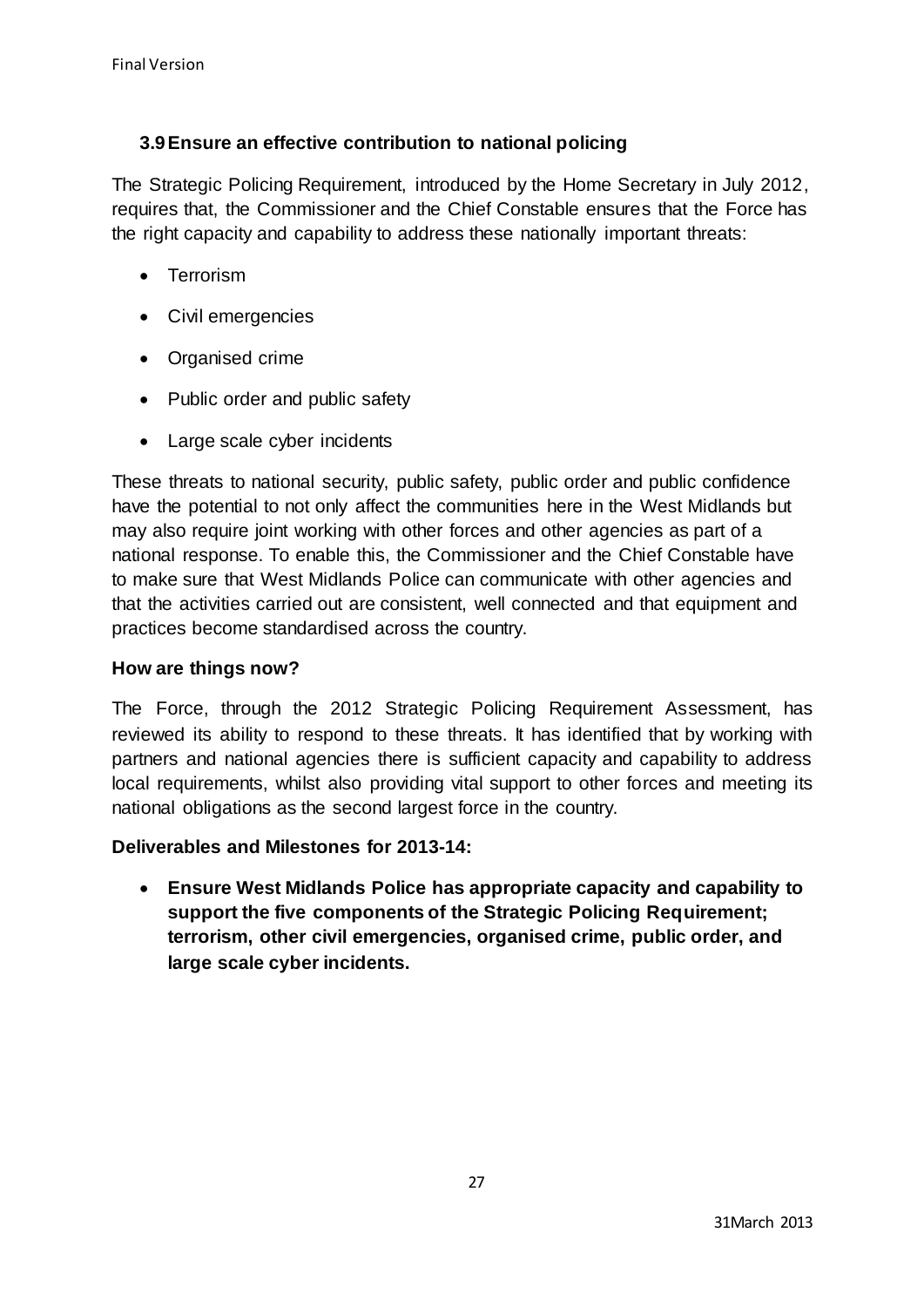# **3.9Ensure an effective contribution to national policing**

The Strategic Policing Requirement, introduced by the Home Secretary in July 2012, requires that, the Commissioner and the Chief Constable ensures that the Force has the right capacity and capability to address these nationally important threats:

- Terrorism
- Civil emergencies
- Organised crime
- Public order and public safety
- Large scale cyber incidents

These threats to national security, public safety, public order and public confidence have the potential to not only affect the communities here in the West Midlands but may also require joint working with other forces and other agencies as part of a national response. To enable this, the Commissioner and the Chief Constable have to make sure that West Midlands Police can communicate with other agencies and that the activities carried out are consistent, well connected and that equipment and practices become standardised across the country.

# **How are things now?**

The Force, through the 2012 Strategic Policing Requirement Assessment, has reviewed its ability to respond to these threats. It has identified that by working with partners and national agencies there is sufficient capacity and capability to address local requirements, whilst also providing vital support to other forces and meeting its national obligations as the second largest force in the country.

# **Deliverables and Milestones for 2013-14:**

 **Ensure West Midlands Police has appropriate capacity and capability to support the five components of the Strategic Policing Requirement; terrorism, other civil emergencies, organised crime, public order, and large scale cyber incidents.**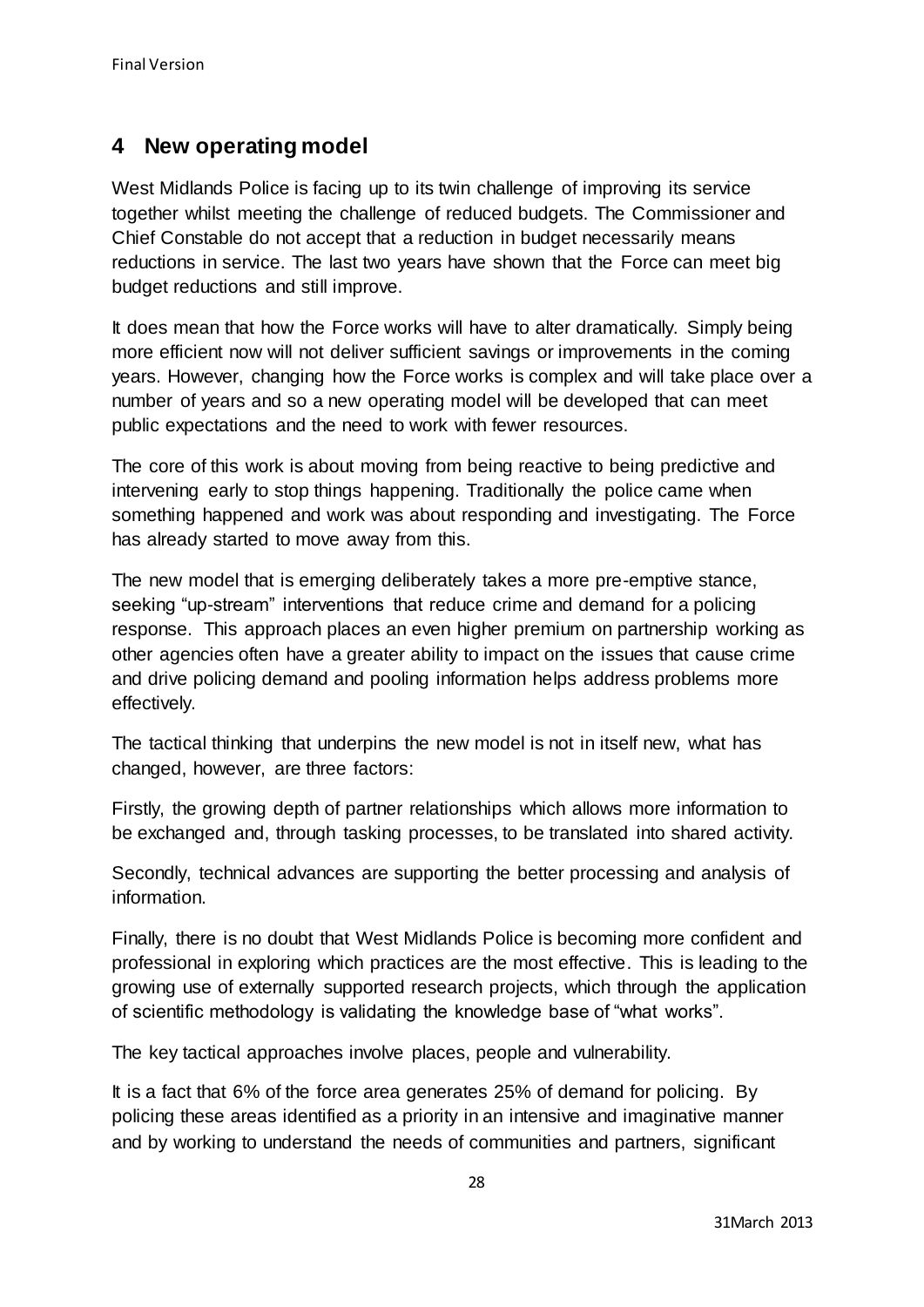# **4 New operating model**

West Midlands Police is facing up to its twin challenge of improving its service together whilst meeting the challenge of reduced budgets. The Commissioner and Chief Constable do not accept that a reduction in budget necessarily means reductions in service. The last two years have shown that the Force can meet big budget reductions and still improve.

It does mean that how the Force works will have to alter dramatically. Simply being more efficient now will not deliver sufficient savings or improvements in the coming years. However, changing how the Force works is complex and will take place over a number of years and so a new operating model will be developed that can meet public expectations and the need to work with fewer resources.

The core of this work is about moving from being reactive to being predictive and intervening early to stop things happening. Traditionally the police came when something happened and work was about responding and investigating. The Force has already started to move away from this.

The new model that is emerging deliberately takes a more pre-emptive stance, seeking "up-stream" interventions that reduce crime and demand for a policing response. This approach places an even higher premium on partnership working as other agencies often have a greater ability to impact on the issues that cause crime and drive policing demand and pooling information helps address problems more effectively.

The tactical thinking that underpins the new model is not in itself new, what has changed, however, are three factors:

Firstly, the growing depth of partner relationships which allows more information to be exchanged and, through tasking processes, to be translated into shared activity.

Secondly, technical advances are supporting the better processing and analysis of information.

Finally, there is no doubt that West Midlands Police is becoming more confident and professional in exploring which practices are the most effective. This is leading to the growing use of externally supported research projects, which through the application of scientific methodology is validating the knowledge base of "what works".

The key tactical approaches involve places, people and vulnerability.

It is a fact that 6% of the force area generates 25% of demand for policing. By policing these areas identified as a priority in an intensive and imaginative manner and by working to understand the needs of communities and partners, significant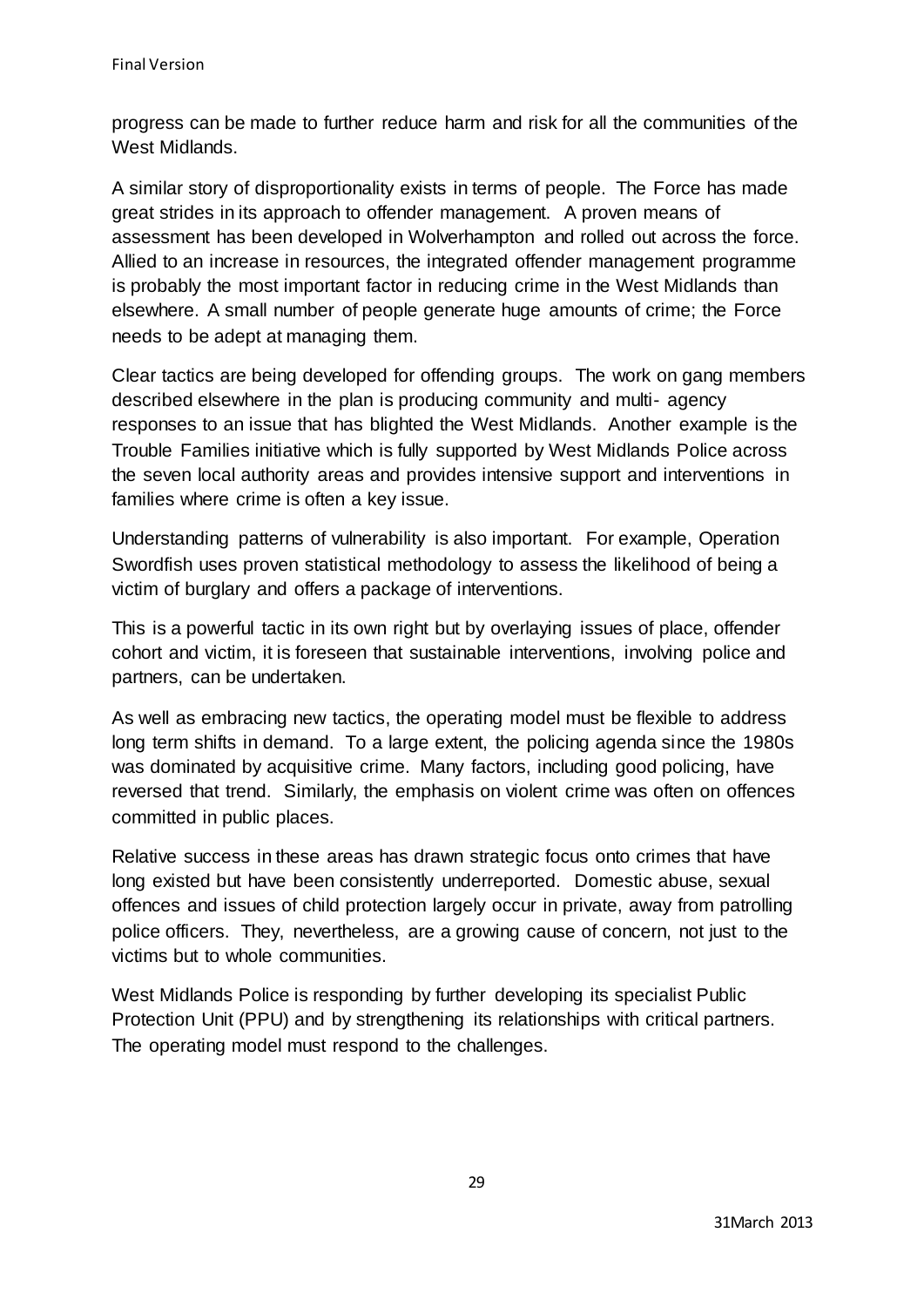progress can be made to further reduce harm and risk for all the communities of the West Midlands.

A similar story of disproportionality exists in terms of people. The Force has made great strides in its approach to offender management. A proven means of assessment has been developed in Wolverhampton and rolled out across the force. Allied to an increase in resources, the integrated offender management programme is probably the most important factor in reducing crime in the West Midlands than elsewhere. A small number of people generate huge amounts of crime; the Force needs to be adept at managing them.

Clear tactics are being developed for offending groups. The work on gang members described elsewhere in the plan is producing community and multi- agency responses to an issue that has blighted the West Midlands. Another example is the Trouble Families initiative which is fully supported by West Midlands Police across the seven local authority areas and provides intensive support and interventions in families where crime is often a key issue.

Understanding patterns of vulnerability is also important. For example, Operation Swordfish uses proven statistical methodology to assess the likelihood of being a victim of burglary and offers a package of interventions.

This is a powerful tactic in its own right but by overlaying issues of place, offender cohort and victim, it is foreseen that sustainable interventions, involving police and partners, can be undertaken.

As well as embracing new tactics, the operating model must be flexible to address long term shifts in demand. To a large extent, the policing agenda since the 1980s was dominated by acquisitive crime. Many factors, including good policing, have reversed that trend. Similarly, the emphasis on violent crime was often on offences committed in public places.

Relative success in these areas has drawn strategic focus onto crimes that have long existed but have been consistently underreported. Domestic abuse, sexual offences and issues of child protection largely occur in private, away from patrolling police officers. They, nevertheless, are a growing cause of concern, not just to the victims but to whole communities.

West Midlands Police is responding by further developing its specialist Public Protection Unit (PPU) and by strengthening its relationships with critical partners. The operating model must respond to the challenges.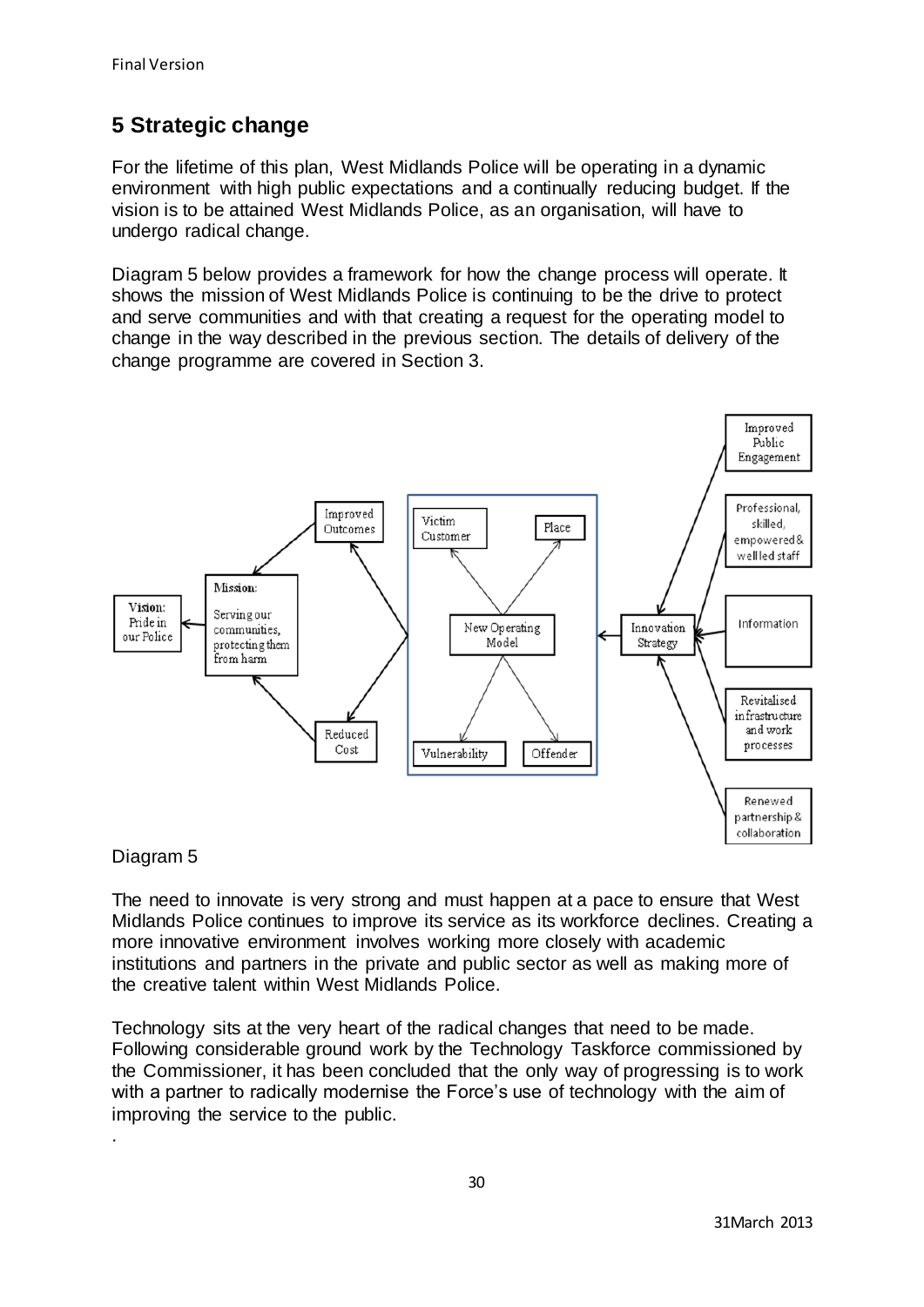# **5 Strategic change**

For the lifetime of this plan, West Midlands Police will be operating in a dynamic environment with high public expectations and a continually reducing budget. If the vision is to be attained West Midlands Police, as an organisation, will have to undergo radical change.

Diagram 5 below provides a framework for how the change process will operate. It shows the mission of West Midlands Police is continuing to be the drive to protect and serve communities and with that creating a request for the operating model to change in the way described in the previous section. The details of delivery of the change programme are covered in Section 3.



# Diagram 5

.

The need to innovate is very strong and must happen at a pace to ensure that West Midlands Police continues to improve its service as its workforce declines. Creating a more innovative environment involves working more closely with academic institutions and partners in the private and public sector as well as making more of the creative talent within West Midlands Police.

Technology sits at the very heart of the radical changes that need to be made. Following considerable ground work by the Technology Taskforce commissioned by the Commissioner, it has been concluded that the only way of progressing is to work with a partner to radically modernise the Force's use of technology with the aim of improving the service to the public.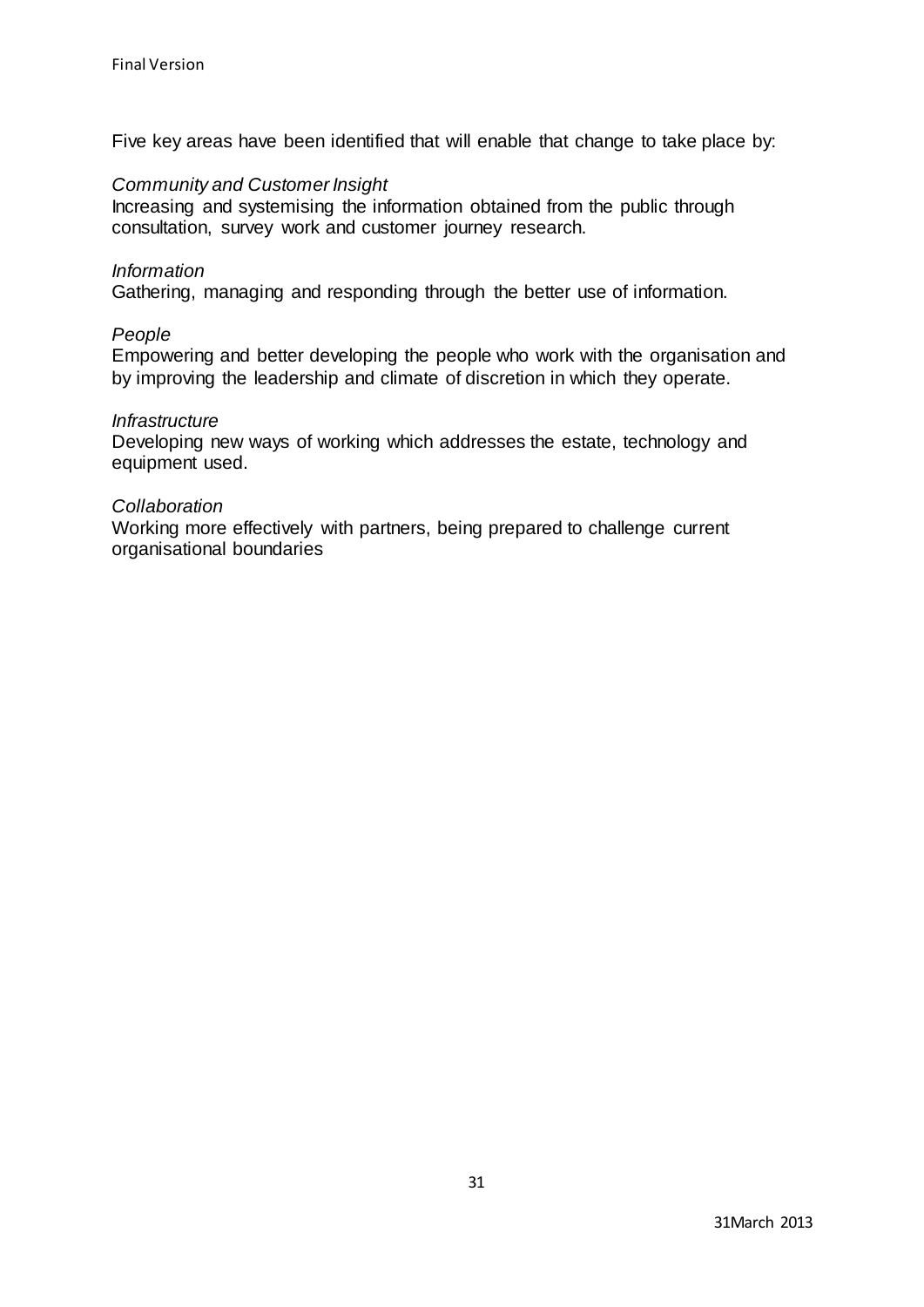Five key areas have been identified that will enable that change to take place by:

### *Community and Customer Insight*

Increasing and systemising the information obtained from the public through consultation, survey work and customer journey research.

#### *Information*

Gathering, managing and responding through the better use of information.

#### *People*

Empowering and better developing the people who work with the organisation and by improving the leadership and climate of discretion in which they operate.

#### *Infrastructure*

Developing new ways of working which addresses the estate, technology and equipment used.

## *Collaboration*

Working more effectively with partners, being prepared to challenge current organisational boundaries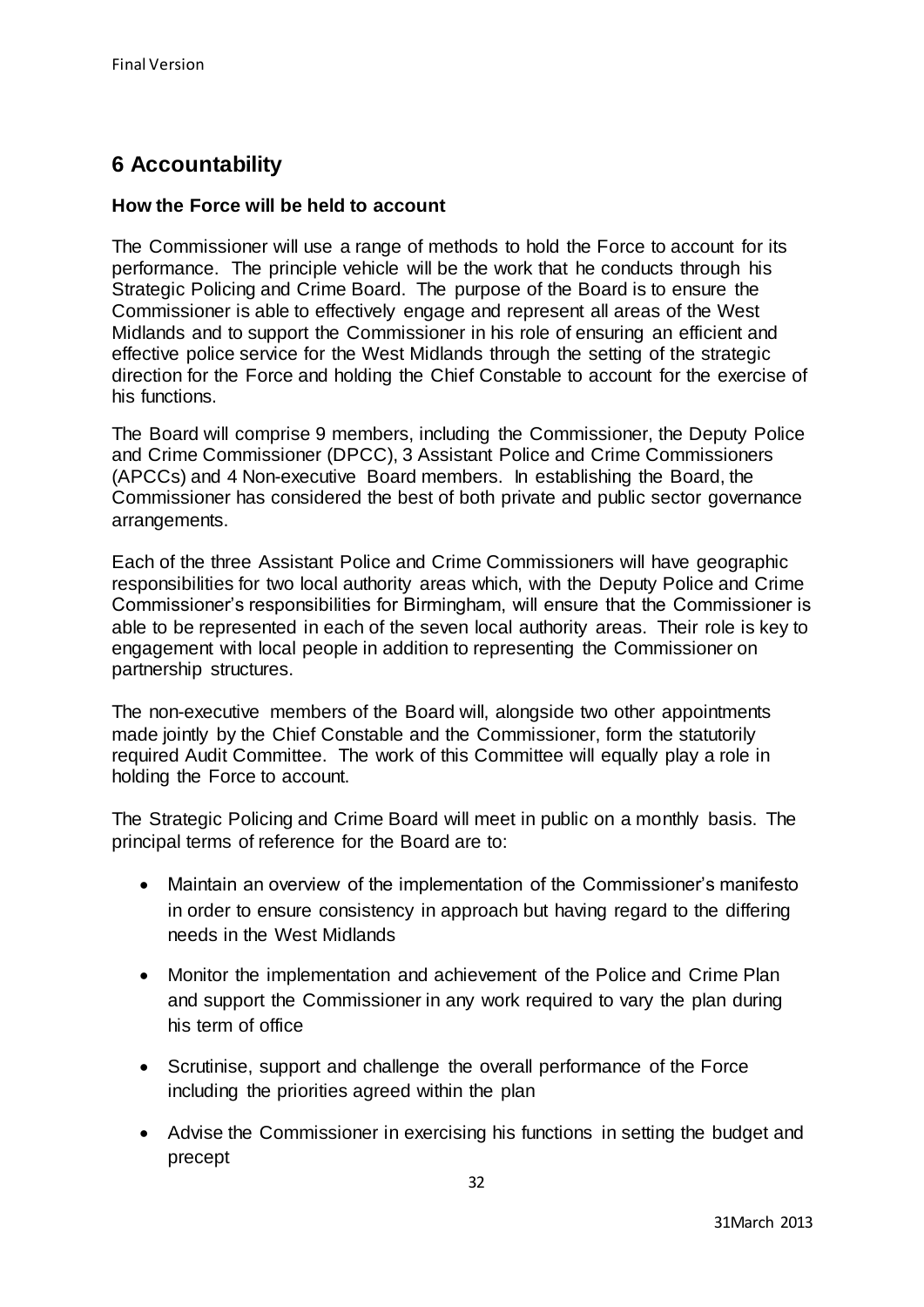# **6 Accountability**

## **How the Force will be held to account**

The Commissioner will use a range of methods to hold the Force to account for its performance. The principle vehicle will be the work that he conducts through his Strategic Policing and Crime Board. The purpose of the Board is to ensure the Commissioner is able to effectively engage and represent all areas of the West Midlands and to support the Commissioner in his role of ensuring an efficient and effective police service for the West Midlands through the setting of the strategic direction for the Force and holding the Chief Constable to account for the exercise of his functions.

The Board will comprise 9 members, including the Commissioner, the Deputy Police and Crime Commissioner (DPCC), 3 Assistant Police and Crime Commissioners (APCCs) and 4 Non-executive Board members. In establishing the Board, the Commissioner has considered the best of both private and public sector governance arrangements.

Each of the three Assistant Police and Crime Commissioners will have geographic responsibilities for two local authority areas which, with the Deputy Police and Crime Commissioner's responsibilities for Birmingham, will ensure that the Commissioner is able to be represented in each of the seven local authority areas. Their role is key to engagement with local people in addition to representing the Commissioner on partnership structures.

The non-executive members of the Board will, alongside two other appointments made jointly by the Chief Constable and the Commissioner, form the statutorily required Audit Committee. The work of this Committee will equally play a role in holding the Force to account.

The Strategic Policing and Crime Board will meet in public on a monthly basis. The principal terms of reference for the Board are to:

- Maintain an overview of the implementation of the Commissioner's manifesto in order to ensure consistency in approach but having regard to the differing needs in the West Midlands
- Monitor the implementation and achievement of the Police and Crime Plan and support the Commissioner in any work required to vary the plan during his term of office
- Scrutinise, support and challenge the overall performance of the Force including the priorities agreed within the plan
- Advise the Commissioner in exercising his functions in setting the budget and precept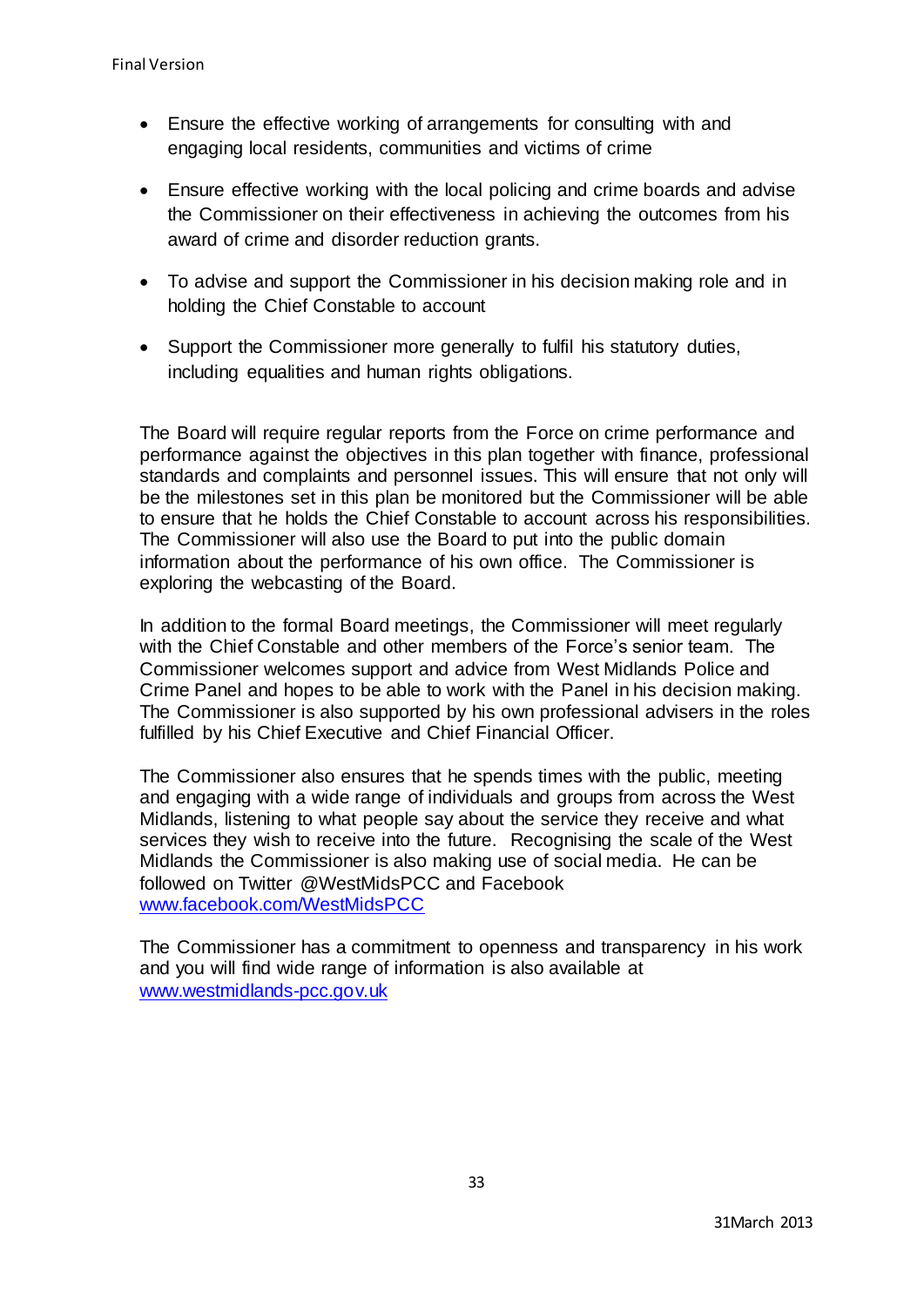- Ensure the effective working of arrangements for consulting with and engaging local residents, communities and victims of crime
- Ensure effective working with the local policing and crime boards and advise the Commissioner on their effectiveness in achieving the outcomes from his award of crime and disorder reduction grants.
- To advise and support the Commissioner in his decision making role and in holding the Chief Constable to account
- Support the Commissioner more generally to fulfil his statutory duties, including equalities and human rights obligations.

The Board will require regular reports from the Force on crime performance and performance against the objectives in this plan together with finance, professional standards and complaints and personnel issues. This will ensure that not only will be the milestones set in this plan be monitored but the Commissioner will be able to ensure that he holds the Chief Constable to account across his responsibilities. The Commissioner will also use the Board to put into the public domain information about the performance of his own office. The Commissioner is exploring the webcasting of the Board.

In addition to the formal Board meetings, the Commissioner will meet regularly with the Chief Constable and other members of the Force's senior team. The Commissioner welcomes support and advice from West Midlands Police and Crime Panel and hopes to be able to work with the Panel in his decision making. The Commissioner is also supported by his own professional advisers in the roles fulfilled by his Chief Executive and Chief Financial Officer.

The Commissioner also ensures that he spends times with the public, meeting and engaging with a wide range of individuals and groups from across the West Midlands, listening to what people say about the service they receive and what services they wish to receive into the future. Recognising the scale of the West Midlands the Commissioner is also making use of social media. He can be followed on Twitter @WestMidsPCC and Facebook [www.facebook.com/WestMidsPCC](http://www.facebook.com/WestMidsPCC)

The Commissioner has a commitment to openness and transparency in his work and you will find wide range of information is also available at [www.westmidlands-pcc.gov.uk](http://www.westmidlands-pcc.gov.uk/)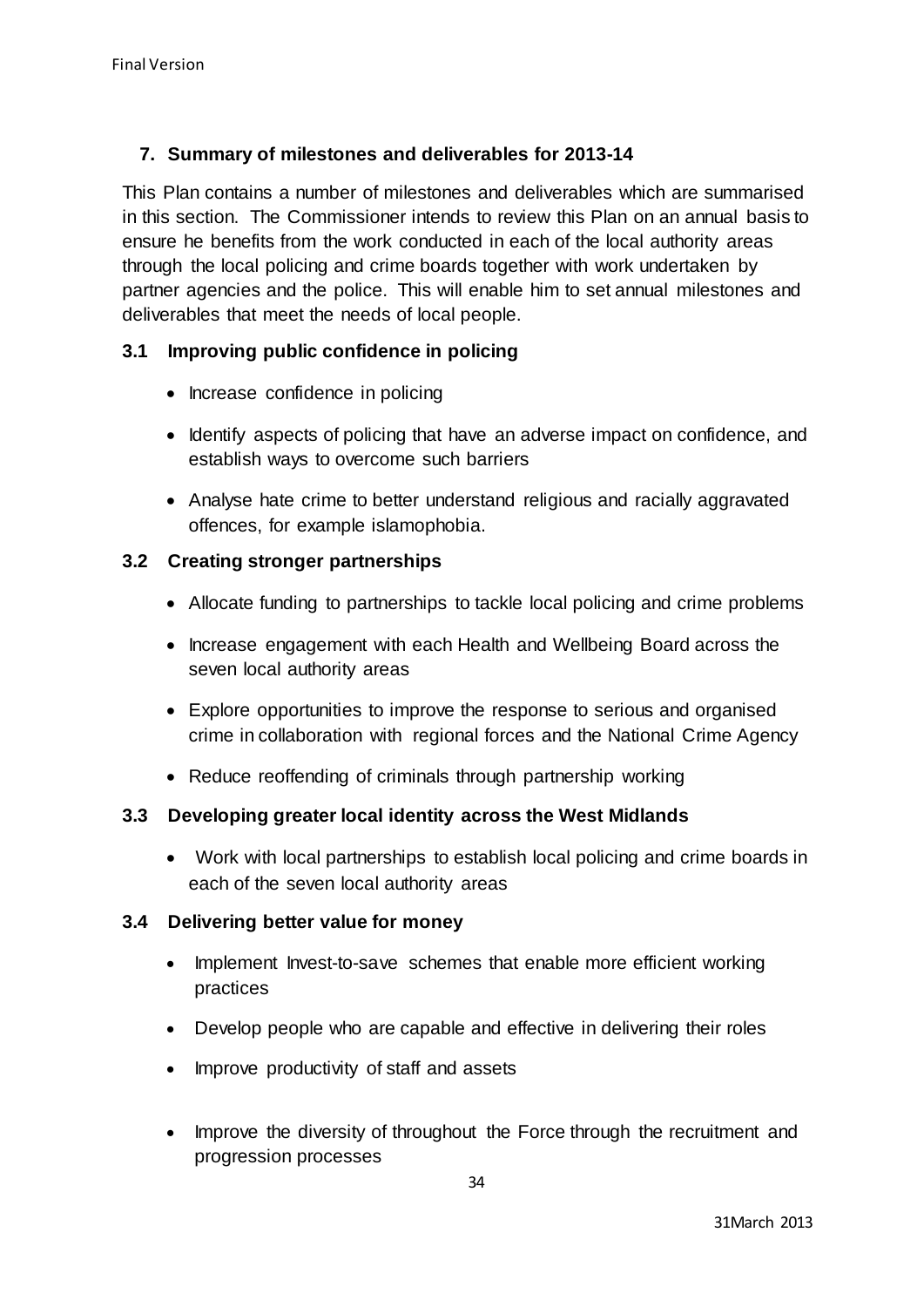# **7. Summary of milestones and deliverables for 2013-14**

This Plan contains a number of milestones and deliverables which are summarised in this section. The Commissioner intends to review this Plan on an annual basis to ensure he benefits from the work conducted in each of the local authority areas through the local policing and crime boards together with work undertaken by partner agencies and the police. This will enable him to set annual milestones and deliverables that meet the needs of local people.

# **3.1 Improving public confidence in policing**

- Increase confidence in policing
- Identify aspects of policing that have an adverse impact on confidence, and establish ways to overcome such barriers
- Analyse hate crime to better understand religious and racially aggravated offences, for example islamophobia.

# **3.2 Creating stronger partnerships**

- Allocate funding to partnerships to tackle local policing and crime problems
- Increase engagement with each Health and Wellbeing Board across the seven local authority areas
- Explore opportunities to improve the response to serious and organised crime in collaboration with regional forces and the National Crime Agency
- Reduce reoffending of criminals through partnership working

# **3.3 Developing greater local identity across the West Midlands**

 Work with local partnerships to establish local policing and crime boards in each of the seven local authority areas

# **3.4 Delivering better value for money**

- Implement Invest-to-save schemes that enable more efficient working practices
- Develop people who are capable and effective in delivering their roles
- Improve productivity of staff and assets
- Improve the diversity of throughout the Force through the recruitment and progression processes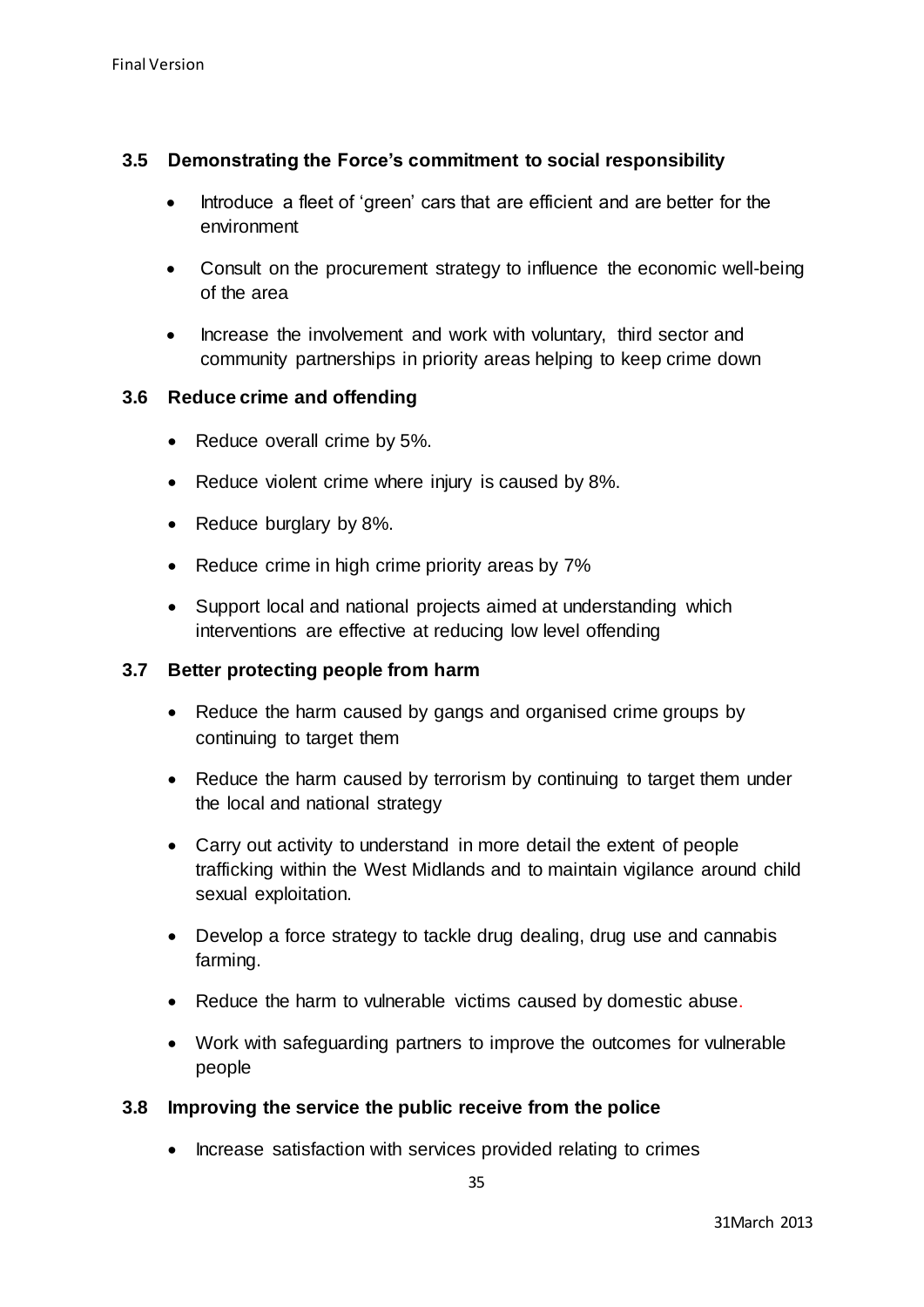# **3.5 Demonstrating the Force's commitment to social responsibility**

- Introduce a fleet of 'green' cars that are efficient and are better for the environment
- Consult on the procurement strategy to influence the economic well-being of the area
- Increase the involvement and work with voluntary, third sector and community partnerships in priority areas helping to keep crime down

## **3.6 Reduce crime and offending**

- Reduce overall crime by 5%.
- Reduce violent crime where injury is caused by 8%.
- Reduce burglary by 8%.
- Reduce crime in high crime priority areas by 7%
- Support local and national projects aimed at understanding which interventions are effective at reducing low level offending

### **3.7 Better protecting people from harm**

- Reduce the harm caused by gangs and organised crime groups by continuing to target them
- Reduce the harm caused by terrorism by continuing to target them under the local and national strategy
- Carry out activity to understand in more detail the extent of people trafficking within the West Midlands and to maintain vigilance around child sexual exploitation.
- Develop a force strategy to tackle drug dealing, drug use and cannabis farming.
- Reduce the harm to vulnerable victims caused by domestic abuse.
- Work with safeguarding partners to improve the outcomes for vulnerable people

# **3.8 Improving the service the public receive from the police**

• Increase satisfaction with services provided relating to crimes